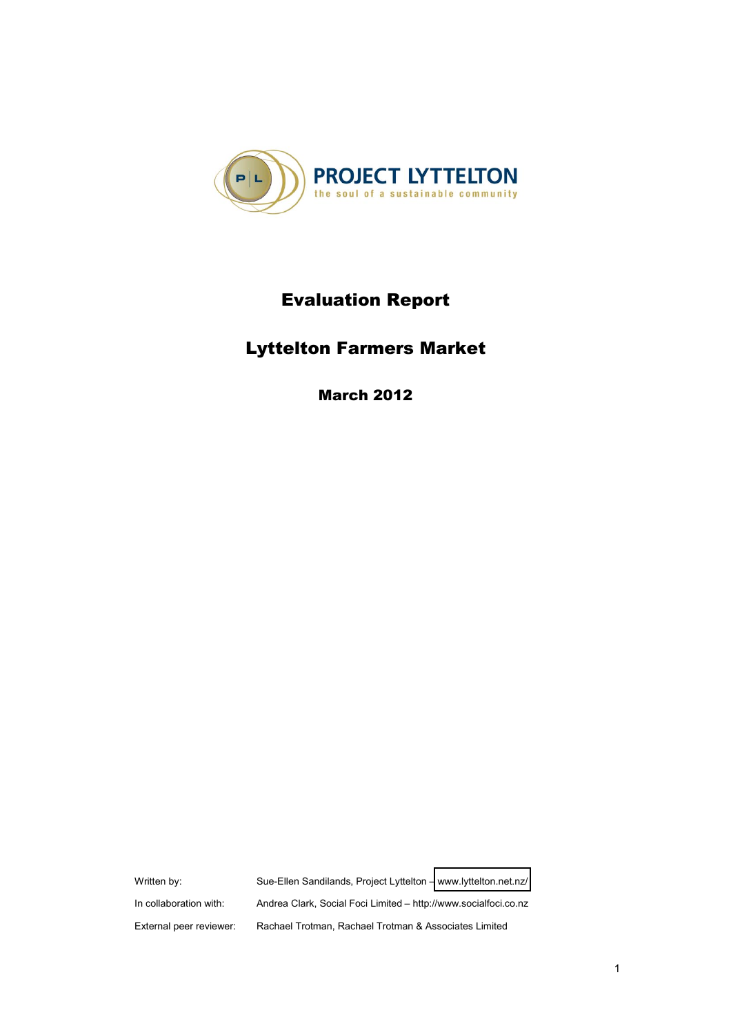

# **Evaluation Report**

# **Lyttelton Farmers Market**

**March 2012** 

Written by: Sue-Ellen Sandilands, Project Lyttelton - [www.lyttelton.net.nz/](http://www.lyttelton.net.nz/) In collaboration with: Andrea Clark, Social Foci Limited - http://www.socialfoci.co.nz External peer reviewer: Rachael Trotman, Rachael Trotman & Associates Limited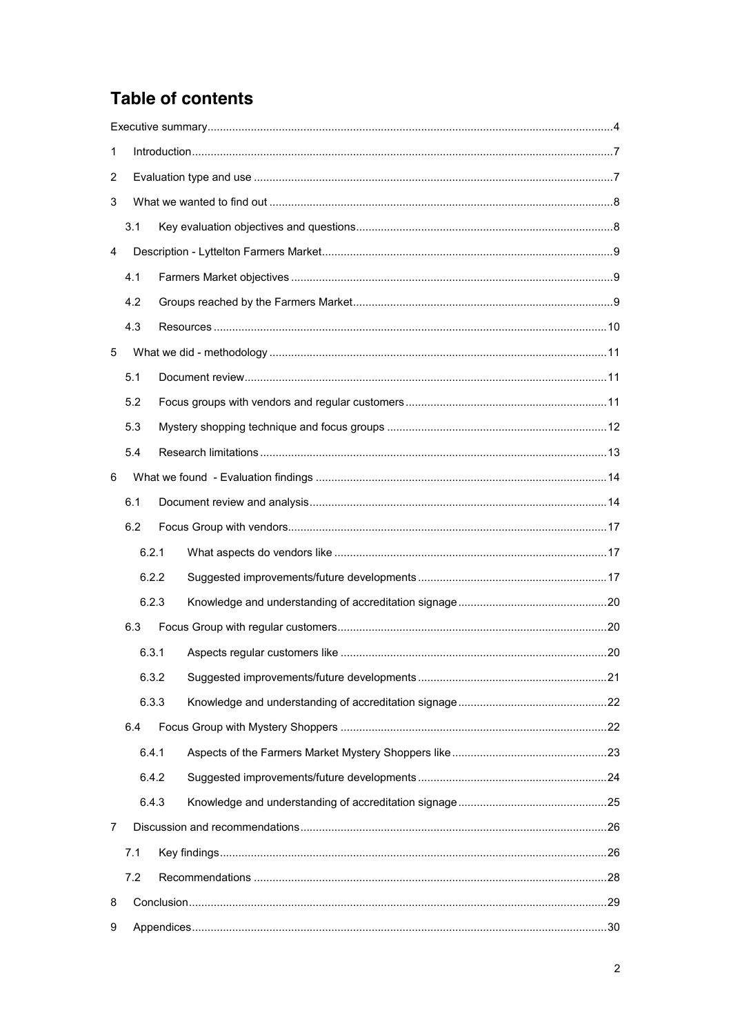# **Table of contents**

| 1              |       |  |  |  |  |  |  |
|----------------|-------|--|--|--|--|--|--|
| $\overline{c}$ |       |  |  |  |  |  |  |
| 3              |       |  |  |  |  |  |  |
|                | 3.1   |  |  |  |  |  |  |
| 4              |       |  |  |  |  |  |  |
|                | 4.1   |  |  |  |  |  |  |
|                | 4.2   |  |  |  |  |  |  |
|                | 4.3   |  |  |  |  |  |  |
| 5              |       |  |  |  |  |  |  |
|                | 5.1   |  |  |  |  |  |  |
|                | 5.2   |  |  |  |  |  |  |
|                | 5.3   |  |  |  |  |  |  |
|                | 5.4   |  |  |  |  |  |  |
| 6              |       |  |  |  |  |  |  |
|                | 6.1   |  |  |  |  |  |  |
|                | 6.2   |  |  |  |  |  |  |
|                | 6.2.1 |  |  |  |  |  |  |
|                | 6.2.2 |  |  |  |  |  |  |
|                | 6.2.3 |  |  |  |  |  |  |
|                | 6.3   |  |  |  |  |  |  |
|                | 6.3.1 |  |  |  |  |  |  |
|                | 6.3.2 |  |  |  |  |  |  |
|                | 6.3.3 |  |  |  |  |  |  |
|                | 6.4   |  |  |  |  |  |  |
|                | 6.4.1 |  |  |  |  |  |  |
|                | 6.4.2 |  |  |  |  |  |  |
|                | 6.4.3 |  |  |  |  |  |  |
| 7              |       |  |  |  |  |  |  |
| 7.1            |       |  |  |  |  |  |  |
|                | 7.2   |  |  |  |  |  |  |
| 8              |       |  |  |  |  |  |  |
| 9              |       |  |  |  |  |  |  |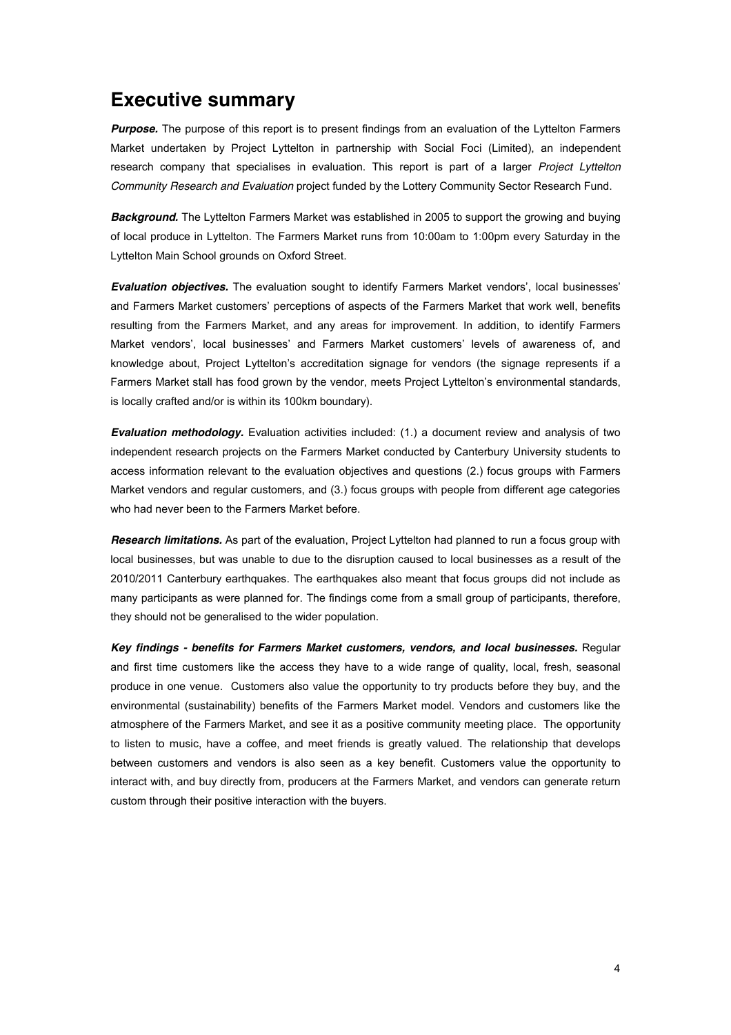# **Executive summary**

*Purpose.* The purpose of this report is to present findings from an evaluation of the Lyttelton Farmers Market undertaken by Project Lyttelton in partnership with Social Foci (Limited), an independent research company that specialises in evaluation. This report is part of a larger *Project Lyttelton Community Research and Evaluation* project funded by the Lottery Community Sector Research Fund.

*Background.* The Lyttelton Farmers Market was established in 2005 to support the growing and buying of local produce in Lyttelton. The Farmers Market runs from 10:00am to 1:00pm every Saturday in the Lyttelton Main School grounds on Oxford Street.

**Evaluation objectives.** The evaluation sought to identify Farmers Market vendors', local businesses' and Farmers Market customers" perceptions of aspects of the Farmers Market that work well, benefits resulting from the Farmers Market, and any areas for improvement. In addition, to identify Farmers Market vendors', local businesses' and Farmers Market customers' levels of awareness of, and knowledge about, Project Lyttelton's accreditation signage for vendors (the signage represents if a Farmers Market stall has food grown by the vendor, meets Project Lyttelton's environmental standards, is locally crafted and/or is within its 100km boundary).

*Evaluation methodology.* Evaluation activities included: (1.) a document review and analysis of two independent research projects on the Farmers Market conducted by Canterbury University students to access information relevant to the evaluation objectives and questions (2.) focus groups with Farmers Market vendors and regular customers, and (3.) focus groups with people from different age categories who had never been to the Farmers Market before.

*Research limitations.* As part of the evaluation, Project Lyttelton had planned to run a focus group with local businesses, but was unable to due to the disruption caused to local businesses as a result of the 2010/2011 Canterbury earthquakes. The earthquakes also meant that focus groups did not include as many participants as were planned for. The findings come from a small group of participants, therefore, they should not be generalised to the wider population.

*Key findings - benefits for Farmers Market customers, vendors, and local businesses.* Regular and first time customers like the access they have to a wide range of quality, local, fresh, seasonal produce in one venue. Customers also value the opportunity to try products before they buy, and the environmental (sustainability) benefits of the Farmers Market model. Vendors and customers like the atmosphere of the Farmers Market, and see it as a positive community meeting place. The opportunity to listen to music, have a coffee, and meet friends is greatly valued. The relationship that develops between customers and vendors is also seen as a key benefit. Customers value the opportunity to interact with, and buy directly from, producers at the Farmers Market, and vendors can generate return custom through their positive interaction with the buyers.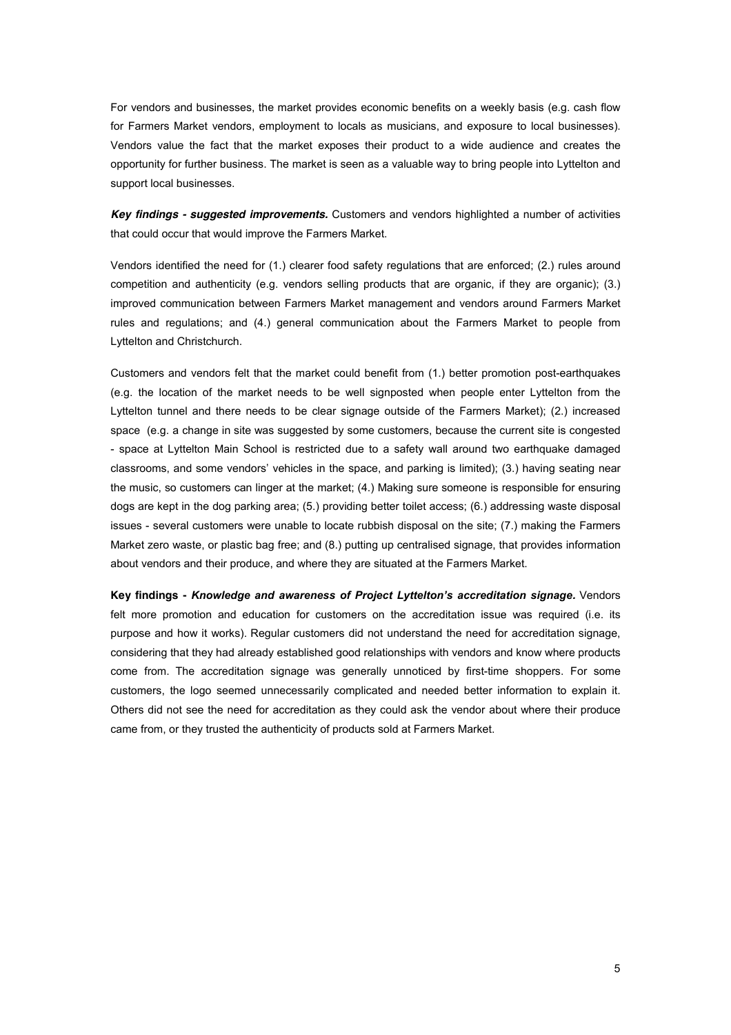For vendors and businesses, the market provides economic benefits on a weekly basis (e.g. cash flow for Farmers Market vendors, employment to locals as musicians, and exposure to local businesses). Vendors value the fact that the market exposes their product to a wide audience and creates the opportunity for further business. The market is seen as a valuable way to bring people into Lyttelton and support local businesses.

*Key findings - suggested improvements.* Customers and vendors highlighted a number of activities that could occur that would improve the Farmers Market.

Vendors identified the need for (1.) clearer food safety regulations that are enforced; (2.) rules around competition and authenticity (e.g. vendors selling products that are organic, if they are organic); (3.) improved communication between Farmers Market management and vendors around Farmers Market rules and regulations; and (4.) general communication about the Farmers Market to people from Lyttelton and Christchurch.

Customers and vendors felt that the market could benefit from (1.) better promotion post-earthquakes (e.g. the location of the market needs to be well signposted when people enter Lyttelton from the Lyttelton tunnel and there needs to be clear signage outside of the Farmers Market); (2.) increased space (e.g. a change in site was suggested by some customers, because the current site is congested - space at Lyttelton Main School is restricted due to a safety wall around two earthquake damaged classrooms, and some vendors' vehicles in the space, and parking is limited); (3.) having seating near the music, so customers can linger at the market; (4.) Making sure someone is responsible for ensuring dogs are kept in the dog parking area; (5.) providing better toilet access; (6.) addressing waste disposal issues - several customers were unable to locate rubbish disposal on the site; (7.) making the Farmers Market zero waste, or plastic bag free; and (8.) putting up centralised signage, that provides information about vendors and their produce, and where they are situated at the Farmers Market.

**Key findings -** *Knowledge and awareness of Project Lyttelton's accreditation signage. Vendors* felt more promotion and education for customers on the accreditation issue was required (i.e. its purpose and how it works). Regular customers did not understand the need for accreditation signage, considering that they had already established good relationships with vendors and know where products come from. The accreditation signage was generally unnoticed by first-time shoppers. For some customers, the logo seemed unnecessarily complicated and needed better information to explain it. Others did not see the need for accreditation as they could ask the vendor about where their produce came from, or they trusted the authenticity of products sold at Farmers Market.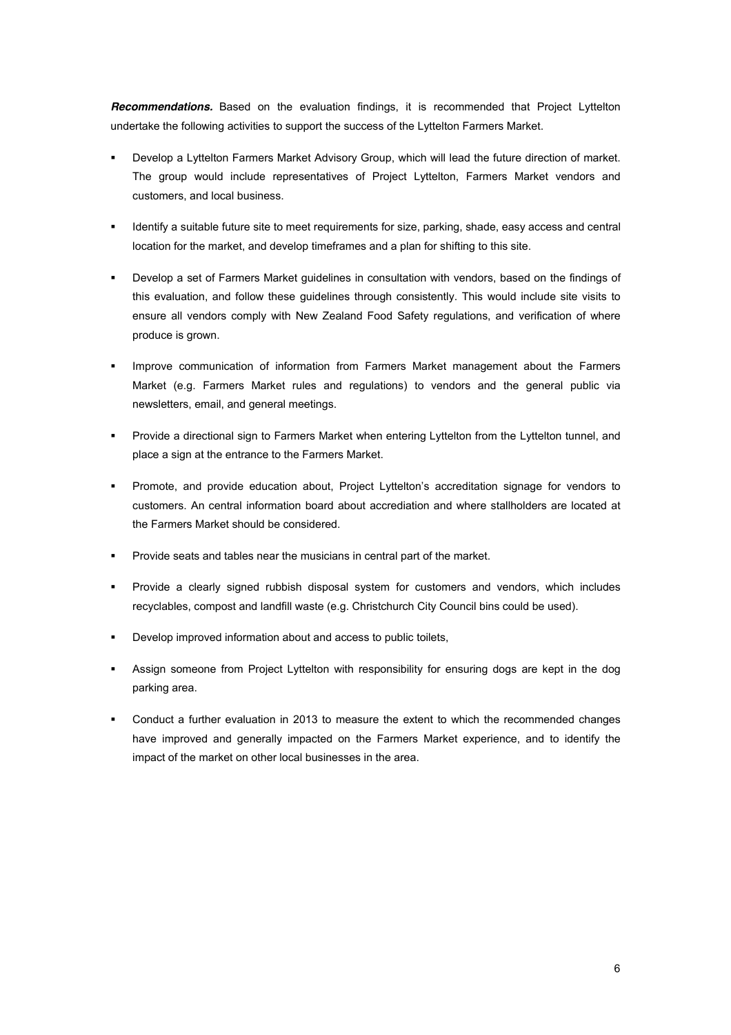*Recommendations.* Based on the evaluation findings, it is recommended that Project Lyttelton undertake the following activities to support the success of the Lyttelton Farmers Market.

- Develop a Lyttelton Farmers Market Advisory Group, which will lead the future direction of market. The group would include representatives of Project Lyttelton, Farmers Market vendors and customers, and local business.
- Identify a suitable future site to meet requirements for size, parking, shade, easy access and central location for the market, and develop timeframes and a plan for shifting to this site.
- ! Develop a set of Farmers Market guidelines in consultation with vendors, based on the findings of this evaluation, and follow these guidelines through consistently. This would include site visits to ensure all vendors comply with New Zealand Food Safety regulations, and verification of where produce is grown.
- ! Improve communication of information from Farmers Market management about the Farmers Market (e.g. Farmers Market rules and regulations) to vendors and the general public via newsletters, email, and general meetings.
- ! Provide a directional sign to Farmers Market when entering Lyttelton from the Lyttelton tunnel, and place a sign at the entrance to the Farmers Market.
- " Promote, and provide education about, Project Lyttelton's accreditation signage for vendors to customers. An central information board about accrediation and where stallholders are located at the Farmers Market should be considered.
- ! Provide seats and tables near the musicians in central part of the market.
- ! Provide a clearly signed rubbish disposal system for customers and vendors, which includes recyclables, compost and landfill waste (e.g. Christchurch City Council bins could be used).
- ! Develop improved information about and access to public toilets,
- ! Assign someone from Project Lyttelton with responsibility for ensuring dogs are kept in the dog parking area.
- ! Conduct a further evaluation in 2013 to measure the extent to which the recommended changes have improved and generally impacted on the Farmers Market experience, and to identify the impact of the market on other local businesses in the area.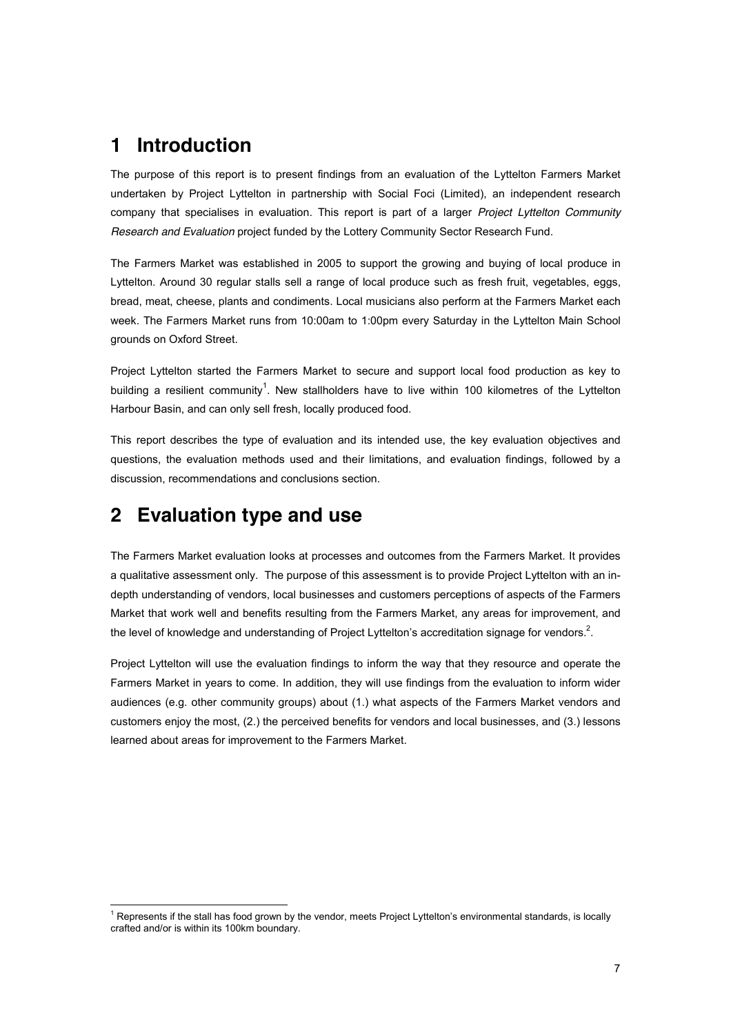# **1 Introduction**

The purpose of this report is to present findings from an evaluation of the Lyttelton Farmers Market undertaken by Project Lyttelton in partnership with Social Foci (Limited), an independent research company that specialises in evaluation. This report is part of a larger *Project Lyttelton Community Research and Evaluation* project funded by the Lottery Community Sector Research Fund.

The Farmers Market was established in 2005 to support the growing and buying of local produce in Lyttelton. Around 30 regular stalls sell a range of local produce such as fresh fruit, vegetables, eggs, bread, meat, cheese, plants and condiments. Local musicians also perform at the Farmers Market each week. The Farmers Market runs from 10:00am to 1:00pm every Saturday in the Lyttelton Main School grounds on Oxford Street.

Project Lyttelton started the Farmers Market to secure and support local food production as key to building a resilient community<sup>1</sup>. New stallholders have to live within 100 kilometres of the Lyttelton Harbour Basin, and can only sell fresh, locally produced food.

This report describes the type of evaluation and its intended use, the key evaluation objectives and questions, the evaluation methods used and their limitations, and evaluation findings, followed by a discussion, recommendations and conclusions section.

# **2 Evaluation type and use**

The Farmers Market evaluation looks at processes and outcomes from the Farmers Market. It provides a qualitative assessment only. The purpose of this assessment is to provide Project Lyttelton with an indepth understanding of vendors, local businesses and customers perceptions of aspects of the Farmers Market that work well and benefits resulting from the Farmers Market, any areas for improvement, and the level of knowledge and understanding of Project Lyttelton's accreditation signage for vendors. $^2$ .

Project Lyttelton will use the evaluation findings to inform the way that they resource and operate the Farmers Market in years to come. In addition, they will use findings from the evaluation to inform wider audiences (e.g. other community groups) about (1.) what aspects of the Farmers Market vendors and customers enjoy the most, (2.) the perceived benefits for vendors and local businesses, and (3.) lessons learned about areas for improvement to the Farmers Market.

<sup>&</sup>lt;sup>1</sup> Represents if the stall has food grown by the vendor, meets Project Lyttelton's environmental standards, is locally crafted and/or is within its 100km boundary.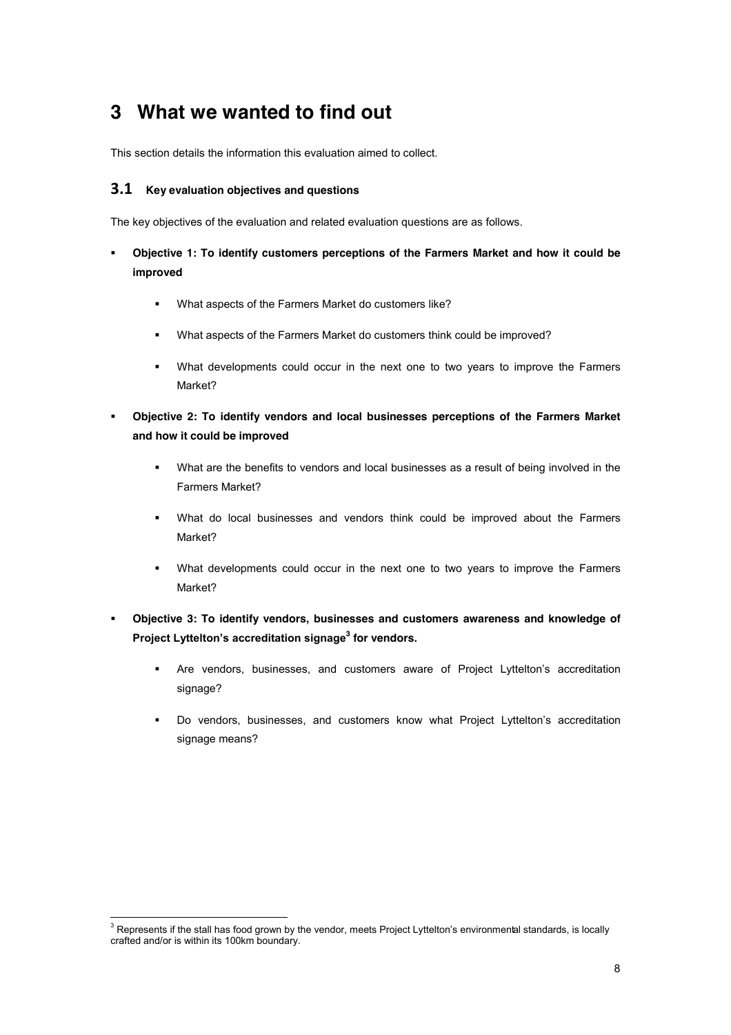# **3 What we wanted to find out**

This section details the information this evaluation aimed to collect.

### **3.1** Key evaluation objectives and questions

The key objectives of the evaluation and related evaluation questions are as follows.

- ! **Objective 1: To identify customers perceptions of the Farmers Market and how it could be improved** 
	- ! What aspects of the Farmers Market do customers like?
	- ! What aspects of the Farmers Market do customers think could be improved?
	- ! What developments could occur in the next one to two years to improve the Farmers Market?
- ! **Objective 2: To identify vendors and local businesses perceptions of the Farmers Market and how it could be improved**
	- What are the benefits to vendors and local businesses as a result of being involved in the Farmers Market?
	- ! What do local businesses and vendors think could be improved about the Farmers Market?
	- ! What developments could occur in the next one to two years to improve the Farmers Market?
- ! **Objective 3: To identify vendors, businesses and customers awareness and knowledge of Project Lyttelton's accreditation signage<sup>3</sup> for vendors.** 
	- " Are vendors, businesses, and customers aware of Project Lyttelton's accreditation signage?
	- Do vendors, businesses, and customers know what Project Lyttelton's accreditation signage means?

<sup>&</sup>lt;sup>3</sup> Represents if the stall has food grown by the vendor, meets Project Lyttelton's environmental standards, is locally crafted and/or is within its 100km boundary.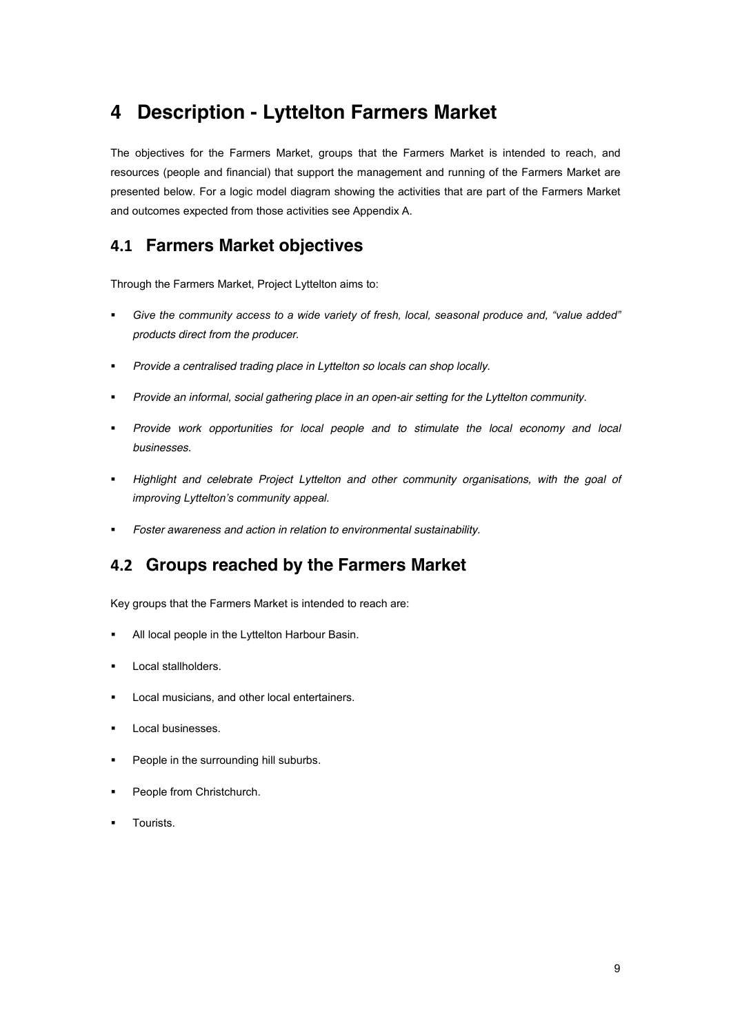# **4 Description - Lyttelton Farmers Market**

The objectives for the Farmers Market, groups that the Farmers Market is intended to reach, and resources (people and financial) that support the management and running of the Farmers Market are presented below. For a logic model diagram showing the activities that are part of the Farmers Market and outcomes expected from those activities see Appendix A.

## **%#\$ Farmers Market objectives**

Through the Farmers Market, Project Lyttelton aims to:

- $i$  Give the community access to a wide variety of fresh, local, seasonal produce and, "value added" *products direct from the producer.*
- ! *Provide a centralised trading place in Lyttelton so locals can shop locally.*
- ! *Provide an informal, social gathering place in an open-air setting for the Lyttelton community.*
- ! *Provide work opportunities for local people and to stimulate the local economy and local businesses.*
- ! *Highlight and celebrate Project Lyttelton and other community organisations, with the goal of improving Lyttelton's community appeal.*
- ! *Foster awareness and action in relation to environmental sustainability.*

## **%#& Groups reached by the Farmers Market**

Key groups that the Farmers Market is intended to reach are:

- All local people in the Lyttelton Harbour Basin.
- Local stallholders.
- ! Local musicians, and other local entertainers.
- Local businesses.
- People in the surrounding hill suburbs.
- People from Christchurch.
- Tourists.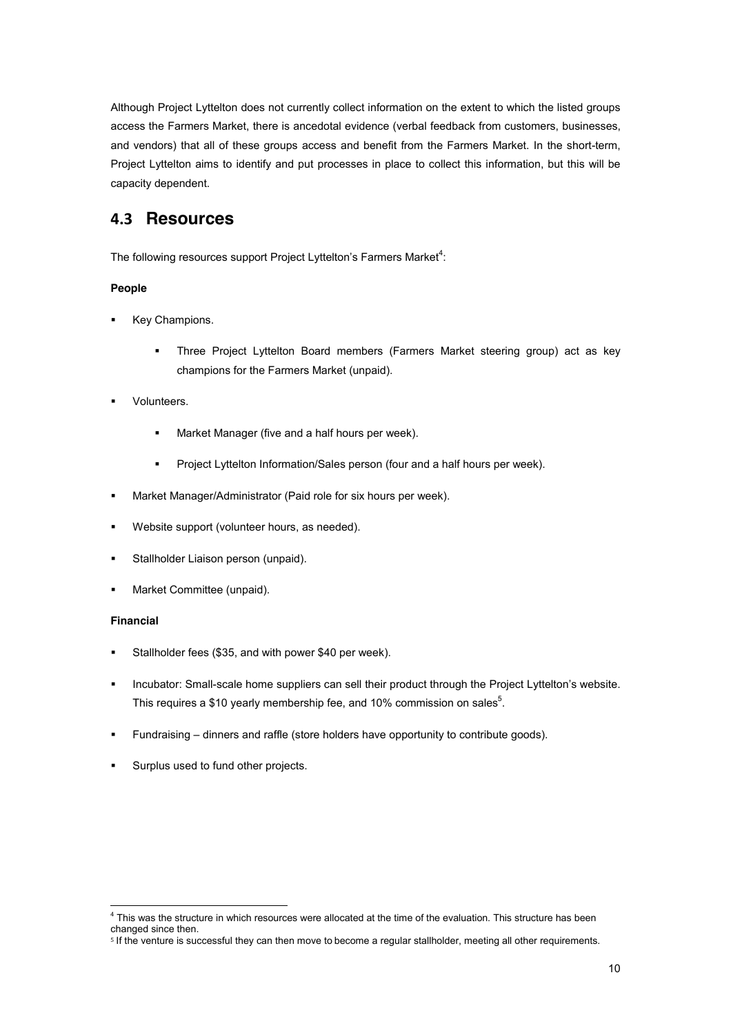Although Project Lyttelton does not currently collect information on the extent to which the listed groups access the Farmers Market, there is ancedotal evidence (verbal feedback from customers, businesses, and vendors) that all of these groups access and benefit from the Farmers Market. In the short-term, Project Lyttelton aims to identify and put processes in place to collect this information, but this will be capacity dependent.

### **%#" Resources**

The following resources support Project Lyttelton's Farmers Market $^4$ :

### **People**

- Key Champions.
	- ! Three Project Lyttelton Board members (Farmers Market steering group) act as key champions for the Farmers Market (unpaid).
- **Volunteers.** 
	- Market Manager (five and a half hours per week).
	- Project Lyttelton Information/Sales person (four and a half hours per week).
- ! Market Manager/Administrator (Paid role for six hours per week).
- ! Website support (volunteer hours, as needed).
- **EXECTE:** Stallholder Liaison person (unpaid).
- ! Market Committee (unpaid).

#### **Financial**

- Stallholder fees (\$35, and with power \$40 per week).
- . Incubator: Small-scale home suppliers can sell their product through the Project Lyttelton's website. This requires a \$10 yearly membership fee, and 10% commission on sales<sup>5</sup>.
- ! Fundraising ! dinners and raffle (store holders have opportunity to contribute goods).
- Surplus used to fund other projects.

 $<sup>4</sup>$  This was the structure in which resources were allocated at the time of the evaluation. This structure has been</sup> changed since then.

<sup>&</sup>lt;sup>5</sup> If the venture is successful they can then move to become a regular stallholder, meeting all other requirements.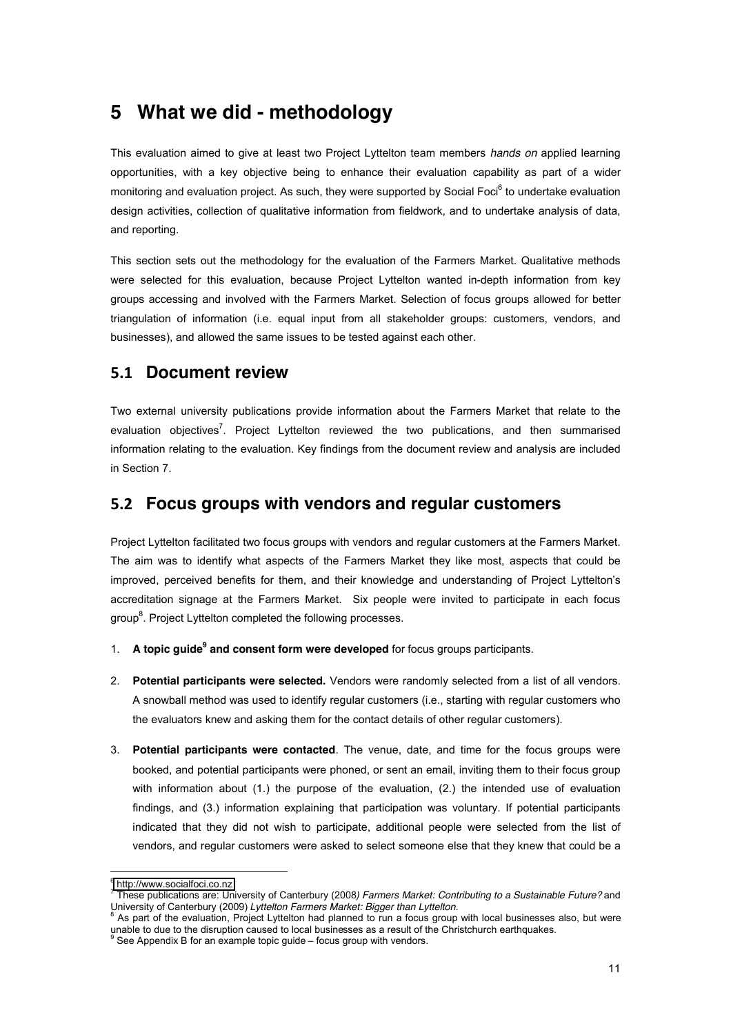# **5 What we did - methodology**

This evaluation aimed to give at least two Project Lyttelton team members *hands on* applied learning opportunities, with a key objective being to enhance their evaluation capability as part of a wider monitoring and evaluation project. As such, they were supported by Social Foci<sup>6</sup> to undertake evaluation design activities, collection of qualitative information from fieldwork, and to undertake analysis of data, and reporting.

This section sets out the methodology for the evaluation of the Farmers Market. Qualitative methods were selected for this evaluation, because Project Lyttelton wanted in-depth information from key groups accessing and involved with the Farmers Market. Selection of focus groups allowed for better triangulation of information (i.e. equal input from all stakeholder groups: customers, vendors, and businesses), and allowed the same issues to be tested against each other.

### **5.1 Document review**

Two external university publications provide information about the Farmers Market that relate to the evaluation objectives<sup>7</sup>. Project Lyttelton reviewed the two publications, and then summarised information relating to the evaluation. Key findings from the document review and analysis are included in Section 7.

### **5.2 Focus groups with vendors and regular customers**

Project Lyttelton facilitated two focus groups with vendors and regular customers at the Farmers Market. The aim was to identify what aspects of the Farmers Market they like most, aspects that could be improved, perceived benefits for them, and their knowledge and understanding of Project Lyttelton's accreditation signage at the Farmers Market. Six people were invited to participate in each focus group $^8$ . Project Lyttelton completed the following processes.

- 1. **A topic guide9 and consent form were developed** for focus groups participants.
- 2. **Potential participants were selected.** Vendors were randomly selected from a list of all vendors. A snowball method was used to identify regular customers (i.e., starting with regular customers who the evaluators knew and asking them for the contact details of other regular customers).
- 3. **Potential participants were contacted**. The venue, date, and time for the focus groups were booked, and potential participants were phoned, or sent an email, inviting them to their focus group with information about (1.) the purpose of the evaluation, (2.) the intended use of evaluation findings, and (3.) information explaining that participation was voluntary. If potential participants indicated that they did not wish to participate, additional people were selected from the list of vendors, and regular customers were asked to select someone else that they knew that could be a

 $6$  [http://www.socialfoci.co.nz](http://www.socialfoci.co.nz/)

<sup>7</sup> These publications are: University of Canterbury (2008*) Farmers Market: Contributing to a Sustainable Future?* and University of Canterbury (2009) *Lyttelton Farmers Market: Bigger than Lyttelton.*<br><sup>8</sup> As part of the evaluation, Project Lyttelton had planned to run a focus group with local businesses also, but were

unable to due to the disruption caused to local businesses as a result of the Christchurch earthquakes. <sup>9</sup> See Appendix B for an example topic guide – focus group with vendors.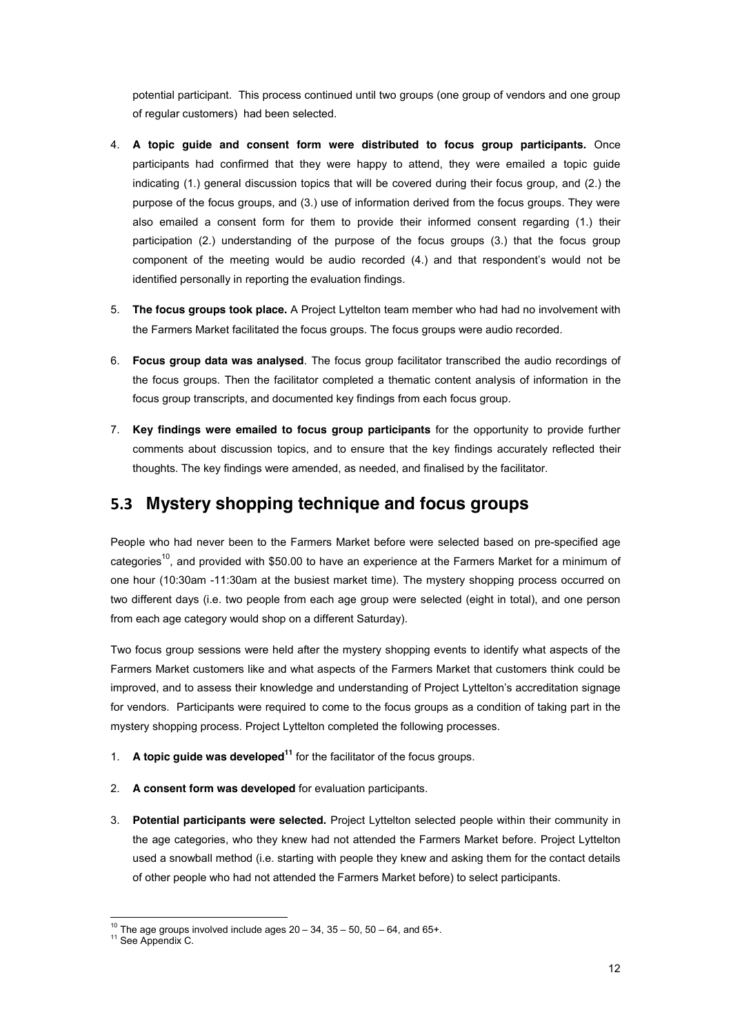potential participant. This process continued until two groups (one group of vendors and one group of regular customers) had been selected.

- 4. **A topic guide and consent form were distributed to focus group participants.** Once participants had confirmed that they were happy to attend, they were emailed a topic guide indicating (1.) general discussion topics that will be covered during their focus group, and (2.) the purpose of the focus groups, and (3.) use of information derived from the focus groups. They were also emailed a consent form for them to provide their informed consent regarding (1.) their participation (2.) understanding of the purpose of the focus groups (3.) that the focus group component of the meeting would be audio recorded (4.) and that respondent's would not be identified personally in reporting the evaluation findings.
- 5. **The focus groups took place.** A Project Lyttelton team member who had had no involvement with the Farmers Market facilitated the focus groups. The focus groups were audio recorded.
- 6. **Focus group data was analysed**. The focus group facilitator transcribed the audio recordings of the focus groups. Then the facilitator completed a thematic content analysis of information in the focus group transcripts, and documented key findings from each focus group.
- 7. **Key findings were emailed to focus group participants** for the opportunity to provide further comments about discussion topics, and to ensure that the key findings accurately reflected their thoughts. The key findings were amended, as needed, and finalised by the facilitator.

## **'#" Mystery shopping technique and focus groups**

People who had never been to the Farmers Market before were selected based on pre-specified age categories<sup>10</sup>, and provided with \$50.00 to have an experience at the Farmers Market for a minimum of one hour (10:30am -11:30am at the busiest market time). The mystery shopping process occurred on two different days (i.e. two people from each age group were selected (eight in total), and one person from each age category would shop on a different Saturday).

Two focus group sessions were held after the mystery shopping events to identify what aspects of the Farmers Market customers like and what aspects of the Farmers Market that customers think could be improved, and to assess their knowledge and understanding of Project Lyttelton's accreditation signage for vendors. Participants were required to come to the focus groups as a condition of taking part in the mystery shopping process. Project Lyttelton completed the following processes.

- 1. **A topic guide was developed<sup>11</sup>** for the facilitator of the focus groups.
- 2. **A consent form was developed** for evaluation participants.
- 3. **Potential participants were selected.** Project Lyttelton selected people within their community in the age categories, who they knew had not attended the Farmers Market before. Project Lyttelton used a snowball method (i.e. starting with people they knew and asking them for the contact details of other people who had not attended the Farmers Market before) to select participants.

<sup>&</sup>lt;sup>10</sup> The age groups involved include ages  $20 - 34$ ,  $35 - 50$ , 50  $- 64$ , and 65+. <sup>11</sup> See Appendix C.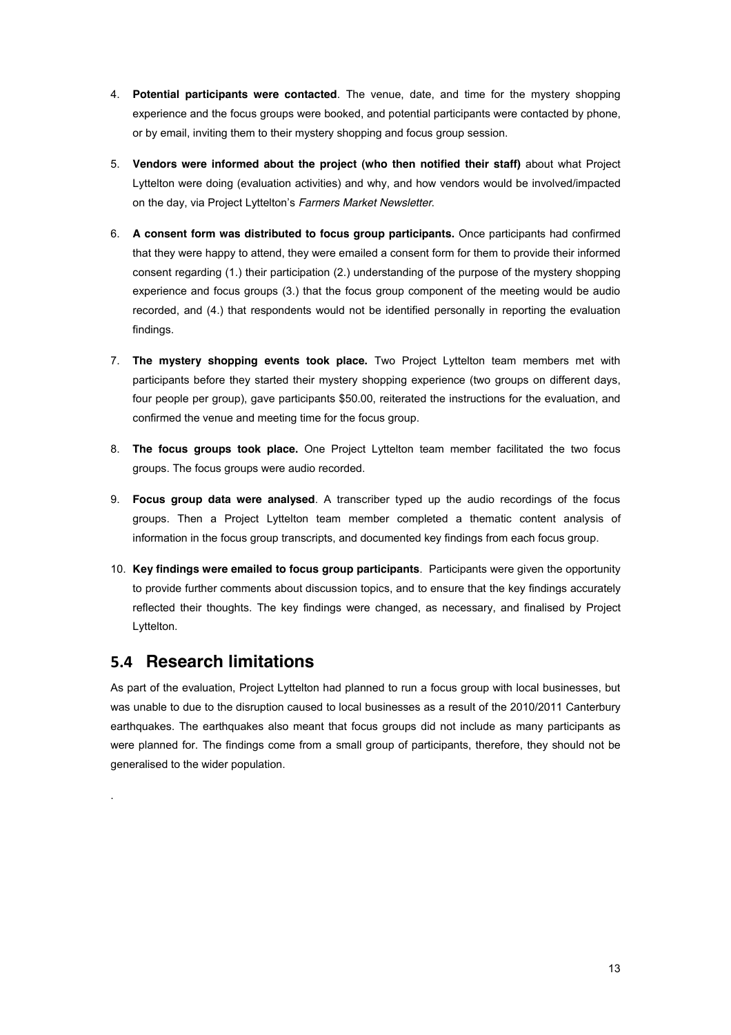- 4. **Potential participants were contacted**. The venue, date, and time for the mystery shopping experience and the focus groups were booked, and potential participants were contacted by phone, or by email, inviting them to their mystery shopping and focus group session.
- 5. **Vendors were informed about the project (who then notified their staff)** about what Project Lyttelton were doing (evaluation activities) and why, and how vendors would be involved/impacted on the day, via Project Lyttelton's Farmers Market Newsletter.
- 6. **A consent form was distributed to focus group participants.** Once participants had confirmed that they were happy to attend, they were emailed a consent form for them to provide their informed consent regarding (1.) their participation (2.) understanding of the purpose of the mystery shopping experience and focus groups (3.) that the focus group component of the meeting would be audio recorded, and (4.) that respondents would not be identified personally in reporting the evaluation findings.
- 7. **The mystery shopping events took place.** Two Project Lyttelton team members met with participants before they started their mystery shopping experience (two groups on different days, four people per group), gave participants \$50.00, reiterated the instructions for the evaluation, and confirmed the venue and meeting time for the focus group.
- 8. **The focus groups took place.** One Project Lyttelton team member facilitated the two focus groups. The focus groups were audio recorded.
- 9. **Focus group data were analysed**. A transcriber typed up the audio recordings of the focus groups. Then a Project Lyttelton team member completed a thematic content analysis of information in the focus group transcripts, and documented key findings from each focus group.
- 10. **Key findings were emailed to focus group participants**. Participants were given the opportunity to provide further comments about discussion topics, and to ensure that the key findings accurately reflected their thoughts. The key findings were changed, as necessary, and finalised by Project Lyttelton.

## **5.4 Research limitations**

.

As part of the evaluation, Project Lyttelton had planned to run a focus group with local businesses, but was unable to due to the disruption caused to local businesses as a result of the 2010/2011 Canterbury earthquakes. The earthquakes also meant that focus groups did not include as many participants as were planned for. The findings come from a small group of participants, therefore, they should not be generalised to the wider population.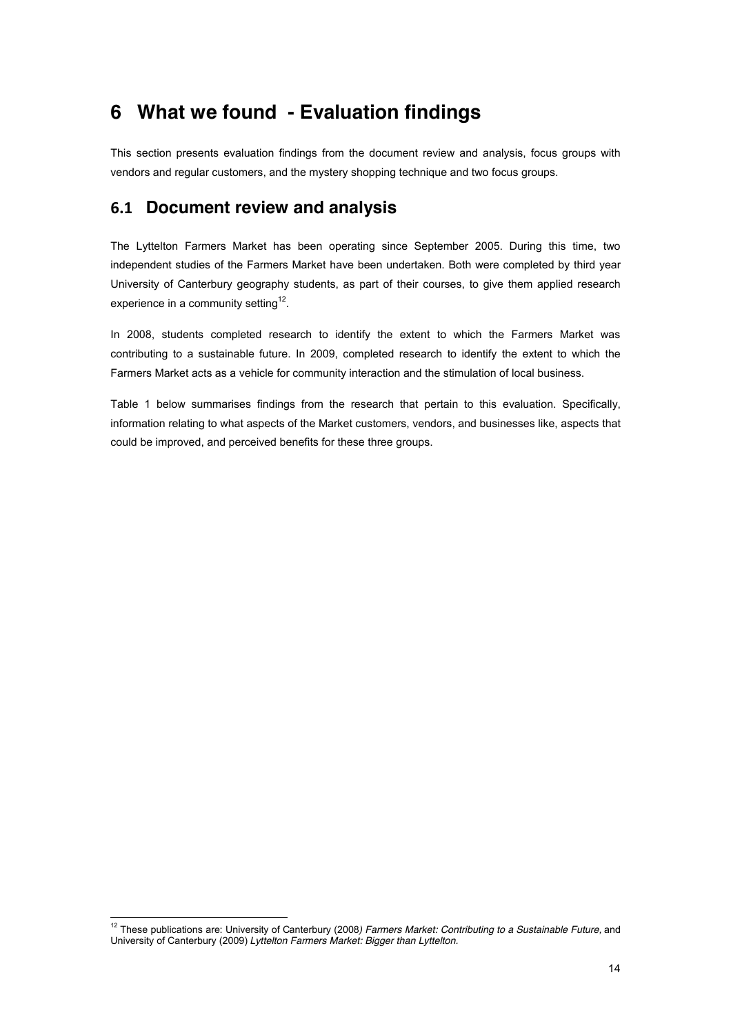# **6 What we found - Evaluation findings**

This section presents evaluation findings from the document review and analysis, focus groups with vendors and regular customers, and the mystery shopping technique and two focus groups.

## **(#\$ Document review and analysis**

The Lyttelton Farmers Market has been operating since September 2005. During this time, two independent studies of the Farmers Market have been undertaken. Both were completed by third year University of Canterbury geography students, as part of their courses, to give them applied research experience in a community setting<sup>12</sup>.

In 2008, students completed research to identify the extent to which the Farmers Market was contributing to a sustainable future. In 2009, completed research to identify the extent to which the Farmers Market acts as a vehicle for community interaction and the stimulation of local business.

Table 1 below summarises findings from the research that pertain to this evaluation. Specifically, information relating to what aspects of the Market customers, vendors, and businesses like, aspects that could be improved, and perceived benefits for these three groups.

<sup>&</sup>lt;sup>12</sup> These publications are: University of Canterbury (2008) Farmers Market: Contributing to a Sustainable Future, and University of Canterbury (2009) *Lyttelton Farmers Market: Bigger than Lyttelton.*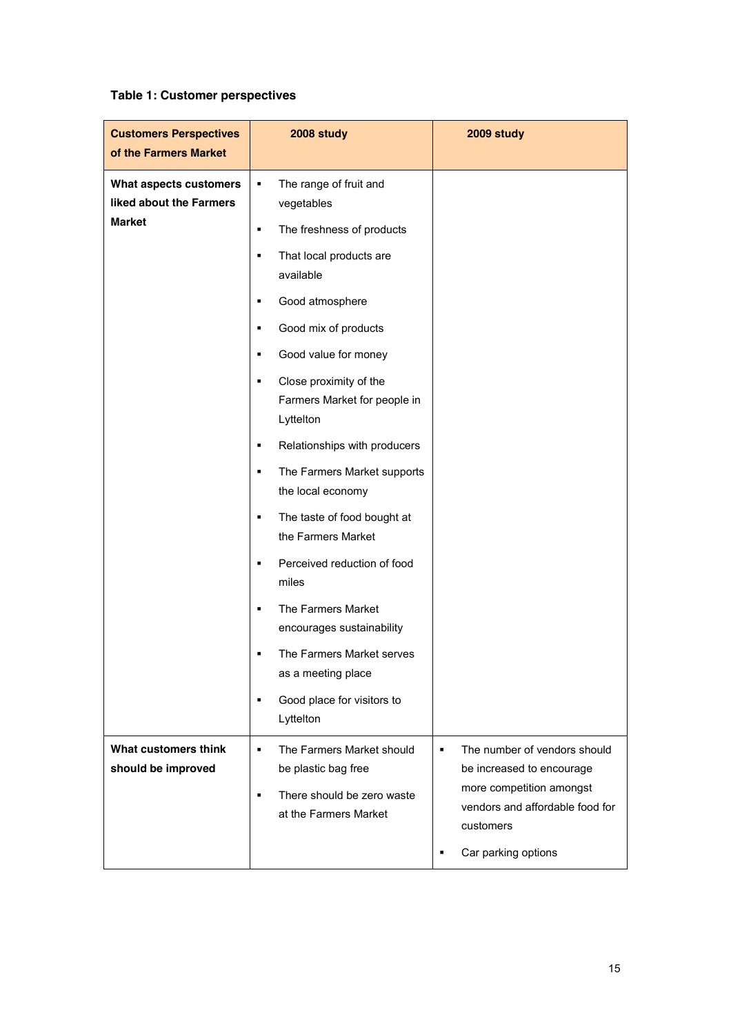### **Table 1: Customer perspectives**

| <b>Customers Perspectives</b><br>of the Farmers Market | 2008 study                                                               | 2009 study                                                                                           |
|--------------------------------------------------------|--------------------------------------------------------------------------|------------------------------------------------------------------------------------------------------|
| What aspects customers<br>liked about the Farmers      | The range of fruit and<br>٠<br>vegetables                                |                                                                                                      |
| <b>Market</b>                                          | The freshness of products<br>٠                                           |                                                                                                      |
|                                                        | That local products are<br>٠<br>available                                |                                                                                                      |
|                                                        | Good atmosphere<br>П                                                     |                                                                                                      |
|                                                        | Good mix of products<br>٠                                                |                                                                                                      |
|                                                        | Good value for money<br>П                                                |                                                                                                      |
|                                                        | Close proximity of the<br>٠<br>Farmers Market for people in<br>Lyttelton |                                                                                                      |
|                                                        | Relationships with producers<br>٠                                        |                                                                                                      |
|                                                        | The Farmers Market supports<br>П<br>the local economy                    |                                                                                                      |
|                                                        | The taste of food bought at<br>٠<br>the Farmers Market                   |                                                                                                      |
|                                                        | Perceived reduction of food<br>٠<br>miles                                |                                                                                                      |
|                                                        | The Farmers Market<br>٠<br>encourages sustainability                     |                                                                                                      |
|                                                        | The Farmers Market serves<br>٠<br>as a meeting place                     |                                                                                                      |
|                                                        | Good place for visitors to<br>٠<br>Lyttelton                             |                                                                                                      |
| What customers think<br>should be improved             | The Farmers Market should<br>٠<br>be plastic bag free                    | The number of vendors should<br>٠<br>be increased to encourage                                       |
|                                                        | There should be zero waste<br>٠<br>at the Farmers Market                 | more competition amongst<br>vendors and affordable food for<br>customers<br>Car parking options<br>٠ |
|                                                        |                                                                          |                                                                                                      |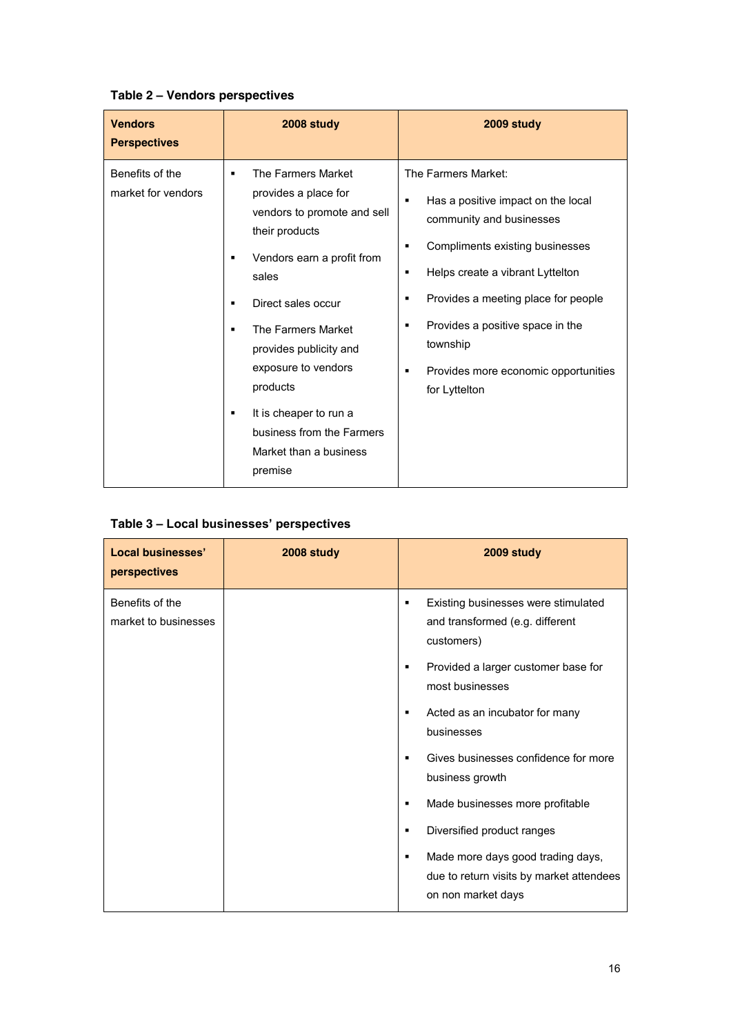### **Table 2 3 Vendors perspectives**

| <b>Vendors</b><br><b>Perspectives</b> | 2008 study                                                                                                                                                                                                                                                                                                                                                       | 2009 study                                                                                                                                                                                                                                                                                                                                                                                     |
|---------------------------------------|------------------------------------------------------------------------------------------------------------------------------------------------------------------------------------------------------------------------------------------------------------------------------------------------------------------------------------------------------------------|------------------------------------------------------------------------------------------------------------------------------------------------------------------------------------------------------------------------------------------------------------------------------------------------------------------------------------------------------------------------------------------------|
| Benefits of the<br>market for vendors | The Farmers Market<br>٠<br>provides a place for<br>vendors to promote and sell<br>their products<br>Vendors earn a profit from<br>٠<br>sales<br>Direct sales occur<br>٠<br>The Farmers Market<br>٠<br>provides publicity and<br>exposure to vendors<br>products<br>It is cheaper to run a<br>٠<br>business from the Farmers<br>Market than a business<br>premise | The Farmers Market:<br>Has a positive impact on the local<br>$\blacksquare$<br>community and businesses<br>Compliments existing businesses<br>٠<br>Helps create a vibrant Lyttelton<br>٠<br>Provides a meeting place for people<br>$\blacksquare$<br>Provides a positive space in the<br>$\blacksquare$<br>township<br>Provides more economic opportunities<br>$\blacksquare$<br>for Lyttelton |

| <b>Local businesses'</b><br>perspectives | 2008 study | 2009 study                                                                                                                                                                                      |
|------------------------------------------|------------|-------------------------------------------------------------------------------------------------------------------------------------------------------------------------------------------------|
| Benefits of the<br>market to businesses  |            | Existing businesses were stimulated<br>٠<br>and transformed (e.g. different<br>customers)<br>Provided a larger customer base for<br>٠<br>most businesses<br>Acted as an incubator for many<br>٠ |
|                                          |            | businesses                                                                                                                                                                                      |
|                                          |            | Gives businesses confidence for more<br>$\blacksquare$<br>business growth                                                                                                                       |
|                                          |            | Made businesses more profitable<br>٠                                                                                                                                                            |
|                                          |            | Diversified product ranges<br>٠                                                                                                                                                                 |
|                                          |            | Made more days good trading days,<br>٠<br>due to return visits by market attendees<br>on non market days                                                                                        |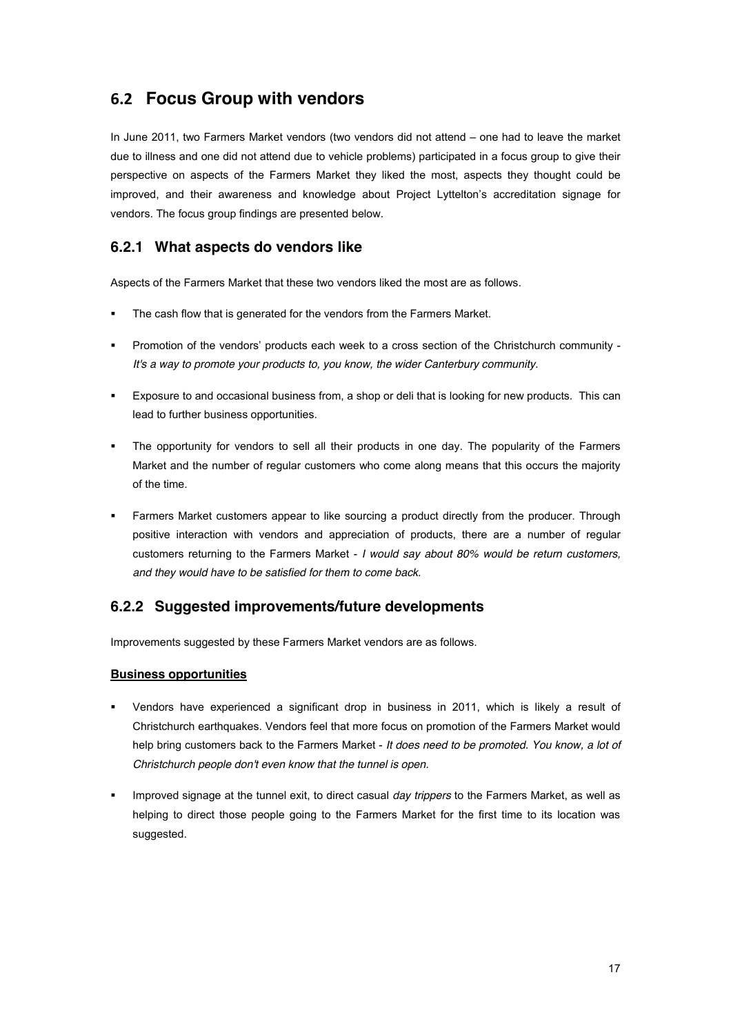## **(#& Focus Group with vendors**

In June 2011, two Farmers Market vendors (two vendors did not attend - one had to leave the market due to illness and one did not attend due to vehicle problems) participated in a focus group to give their perspective on aspects of the Farmers Market they liked the most, aspects they thought could be improved, and their awareness and knowledge about Project Lyttelton's accreditation signage for vendors. The focus group findings are presented below.

### **6.2.1 What aspects do vendors like**

Aspects of the Farmers Market that these two vendors liked the most are as follows.

- The cash flow that is generated for the vendors from the Farmers Market.
- Promotion of the vendors' products each week to a cross section of the Christchurch community -*It's a way to promote your products to, you know, the wider Canterbury community.*
- ! Exposure to and occasional business from, a shop or deli that is looking for new products. This can lead to further business opportunities.
- The opportunity for vendors to sell all their products in one day. The popularity of the Farmers Market and the number of regular customers who come along means that this occurs the majority of the time.
- ! Farmers Market customers appear to like sourcing a product directly from the producer. Through positive interaction with vendors and appreciation of products, there are a number of regular customers returning to the Farmers Market - *I would say about 80% would be return customers, and they would have to be satisfied for them to come back*.

### **6.2.2 Suggested improvements/future developments**

Improvements suggested by these Farmers Market vendors are as follows.

#### **Business opportunities**

- ! Vendors have experienced a significant drop in business in 2011, which is likely a result of Christchurch earthquakes. Vendors feel that more focus on promotion of the Farmers Market would help bring customers back to the Farmers Market - *It does need to be promoted. You know, a lot of Christchurch people don't even know that the tunnel is open.*
- ! Improved signage at the tunnel exit, to direct casual *day trippers* to the Farmers Market, as well as helping to direct those people going to the Farmers Market for the first time to its location was suggested.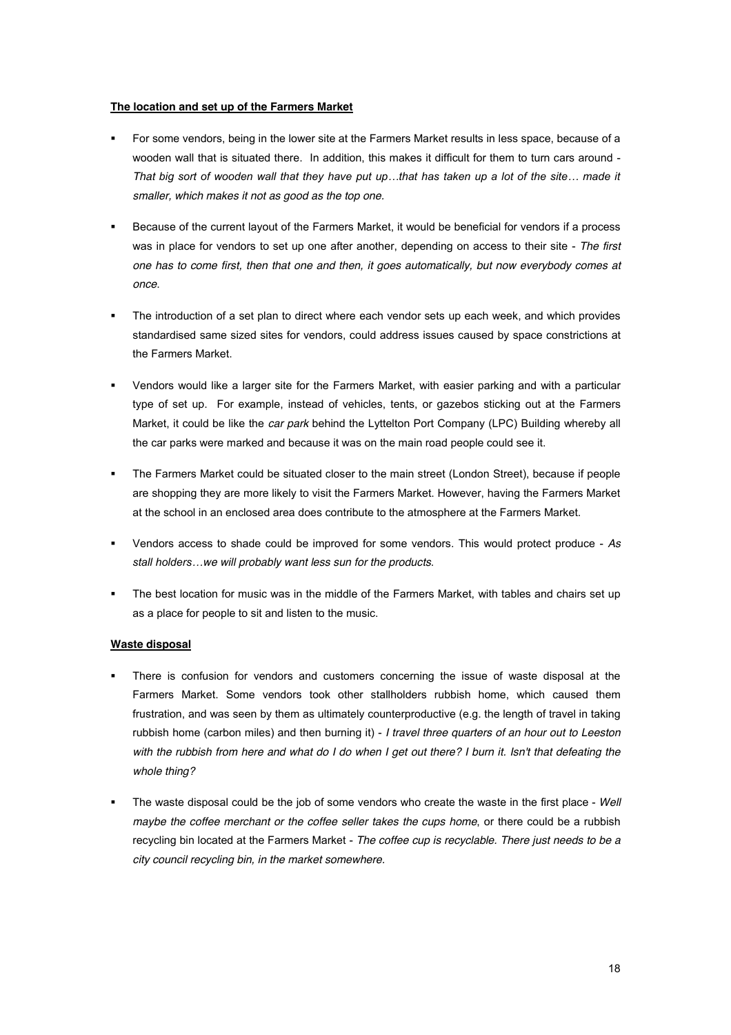#### **The location and set up of the Farmers Market**

- ! For some vendors, being in the lower site at the Farmers Market results in less space, because of a wooden wall that is situated there. In addition, this makes it difficult for them to turn cars around - *That big sort of wooden wall that they have put up...that has taken up a lot of the site... made it smaller, which makes it not as good as the top one.*
- ! Because of the current layout of the Farmers Market, it would be beneficial for vendors if a process was in place for vendors to set up one after another, depending on access to their site - *The first one has to come first, then that one and then, it goes automatically, but now everybody comes at once*.
- The introduction of a set plan to direct where each vendor sets up each week, and which provides standardised same sized sites for vendors, could address issues caused by space constrictions at the Farmers Market.
- ! Vendors would like a larger site for the Farmers Market, with easier parking and with a particular type of set up. For example, instead of vehicles, tents, or gazebos sticking out at the Farmers Market, it could be like the *car park* behind the Lyttelton Port Company (LPC) Building whereby all the car parks were marked and because it was on the main road people could see it.
- The Farmers Market could be situated closer to the main street (London Street), because if people are shopping they are more likely to visit the Farmers Market. However, having the Farmers Market at the school in an enclosed area does contribute to the atmosphere at the Farmers Market.
- ! Vendors access to shade could be improved for some vendors. This would protect produce *As /&.55%')51\$2/>we will probably want less sun for the products*.
- The best location for music was in the middle of the Farmers Market, with tables and chairs set up as a place for people to sit and listen to the music.

#### **Waste disposal**

- There is confusion for vendors and customers concerning the issue of waste disposal at the Farmers Market. Some vendors took other stallholders rubbish home, which caused them frustration, and was seen by them as ultimately counterproductive (e.g. the length of travel in taking rubbish home (carbon miles) and then burning it) - *I travel three quarters of an hour out to Leeston with the rubbish from here and what do I do when I get out there? I burn it. Isn't that defeating the whole thing?*
- ! The waste disposal could be the job of some vendors who create the waste in the first place *Well maybe the coffee merchant or the coffee seller takes the cups home*, or there could be a rubbish recycling bin located at the Farmers Market - *The coffee cup is recyclable. There just needs to be a city council recycling bin, in the market somewhere.*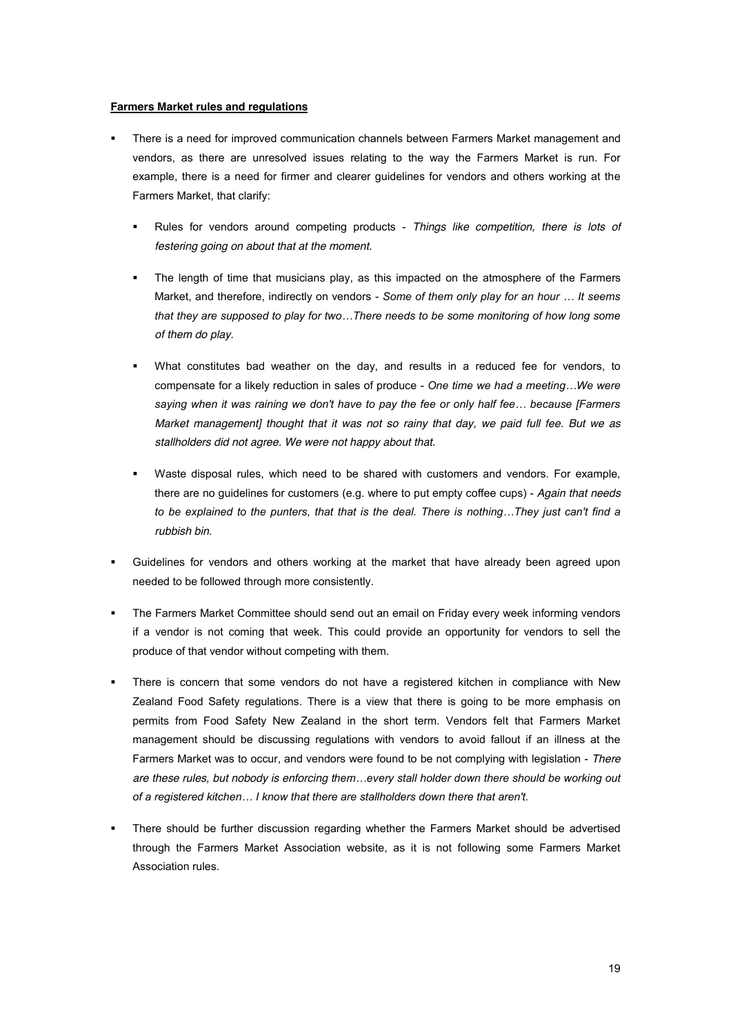#### **Farmers Market rules and regulations**

- ! There is a need for improved communication channels between Farmers Market management and vendors, as there are unresolved issues relating to the way the Farmers Market is run. For example, there is a need for firmer and clearer guidelines for vendors and others working at the Farmers Market, that clarify:
	- ! Rules for vendors around competing products *Things like competition, there is lots of festering going on about that at the moment.*
	- The length of time that musicians play, as this impacted on the atmosphere of the Farmers Market, and therefore, indirectly on vendors - *Some of them only play for an hour* ... It seems that they are supposed to play for two...There needs to be some monitoring of how long some *of them do play.*
	- What constitutes bad weather on the day, and results in a reduced fee for vendors, to compensate for a likely reduction in sales of produce - One time we had a meeting...We were saying when it was raining we don't have to pay the fee or only half fee... because [Farmers *Market management] thought that it was not so rainy that day, we paid full fee. But we as stallholders did not agree. We were not happy about that.*
	- Waste disposal rules, which need to be shared with customers and vendors. For example, there are no guidelines for customers (e.g. where to put empty coffee cups) - *Again that needs*  to be explained to the punters, that that is the deal. There is nothing...They just can't find a *rubbish bin*.
- Guidelines for vendors and others working at the market that have already been agreed upon needed to be followed through more consistently.
- ! The Farmers Market Committee should send out an email on Friday every week informing vendors if a vendor is not coming that week. This could provide an opportunity for vendors to sell the produce of that vendor without competing with them.
- ! There is concern that some vendors do not have a registered kitchen in compliance with New Zealand Food Safety regulations. There is a view that there is going to be more emphasis on permits from Food Safety New Zealand in the short term. Vendors felt that Farmers Market management should be discussing regulations with vendors to avoid fallout if an illness at the Farmers Market was to occur, and vendors were found to be not complying with legislation - *There*  are these rules, but nobody is enforcing them...every stall holder down there should be working out  $\alpha$ *5 a registered kitchen... I know that there are stallholders down there that aren't.*
- ! There should be further discussion regarding whether the Farmers Market should be advertised through the Farmers Market Association website, as it is not following some Farmers Market Association rules.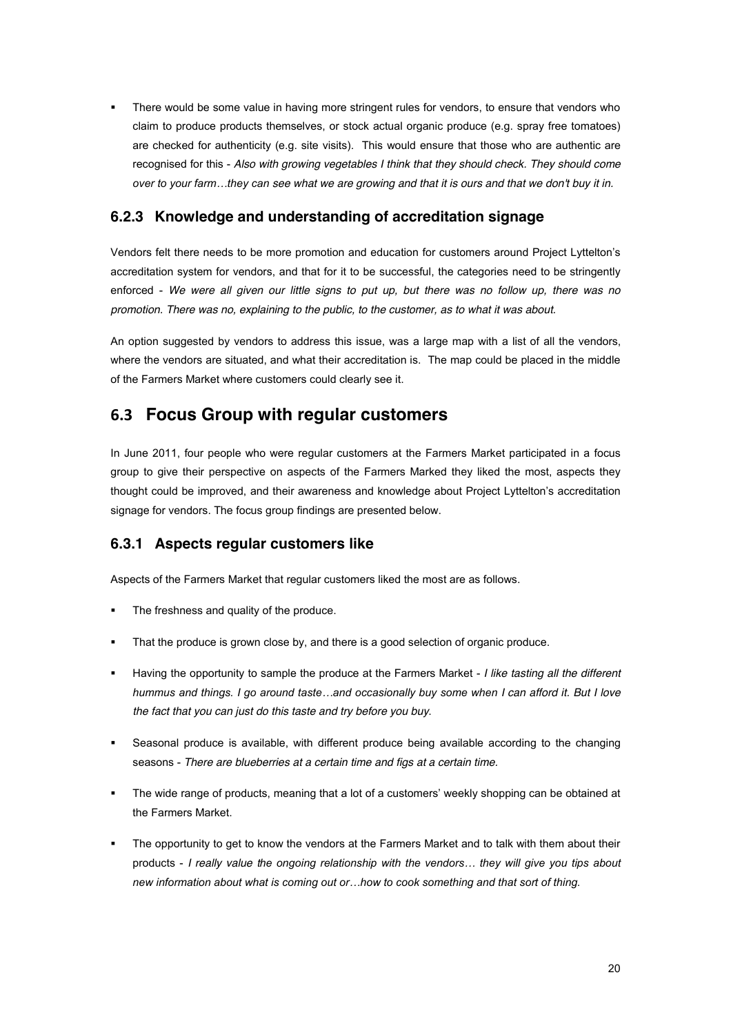There would be some value in having more stringent rules for vendors, to ensure that vendors who claim to produce products themselves, or stock actual organic produce (e.g. spray free tomatoes) are checked for authenticity (e.g. site visits). This would ensure that those who are authentic are recognised for this - *Also with growing vegetables I think that they should check. They should come )#\$2%&)%-)+2%3.2\*>&'\$-%(., see what we are growing and that it is ours and that we don't buy it in.* 

### **6.2.3 Knowledge and understanding of accreditation signage**

Vendors felt there needs to be more promotion and education for customers around Project Lyttelton's accreditation system for vendors, and that for it to be successful, the categories need to be stringently enforced - *We were all given our little signs to put up, but there was no follow up, there was no promotion. There was no, explaining to the public, to the customer, as to what it was about.*

An option suggested by vendors to address this issue, was a large map with a list of all the vendors, where the vendors are situated, and what their accreditation is. The map could be placed in the middle of the Farmers Market where customers could clearly see it.

### **(#" Focus Group with regular customers**

In June 2011, four people who were regular customers at the Farmers Market participated in a focus group to give their perspective on aspects of the Farmers Marked they liked the most, aspects they thought could be improved, and their awareness and knowledge about Project Lyttelton's accreditation signage for vendors. The focus group findings are presented below.

### **6.3.1 Aspects regular customers like**

Aspects of the Farmers Market that regular customers liked the most are as follows.

- The freshness and quality of the produce.
- That the produce is grown close by, and there is a good selection of organic produce.
- ! Having the opportunity to sample the produce at the Farmers Market *I like tasting all the different*  hummus and things. I go around taste...and occasionally buy some when I can afford it. But I love *the fact that you can just do this taste and try before you buy*.
- Seasonal produce is available, with different produce being available according to the changing seasons - *There are blueberries at a certain time and figs at a certain time.*
- The wide range of products, meaning that a lot of a customers' weekly shopping can be obtained at the Farmers Market.
- The opportunity to get to know the vendors at the Farmers Market and to talk with them about their products - *I really value the ongoing relationship with the vendors... they will give you tips about* hew information about what is coming out or...how to cook something and that sort of thing.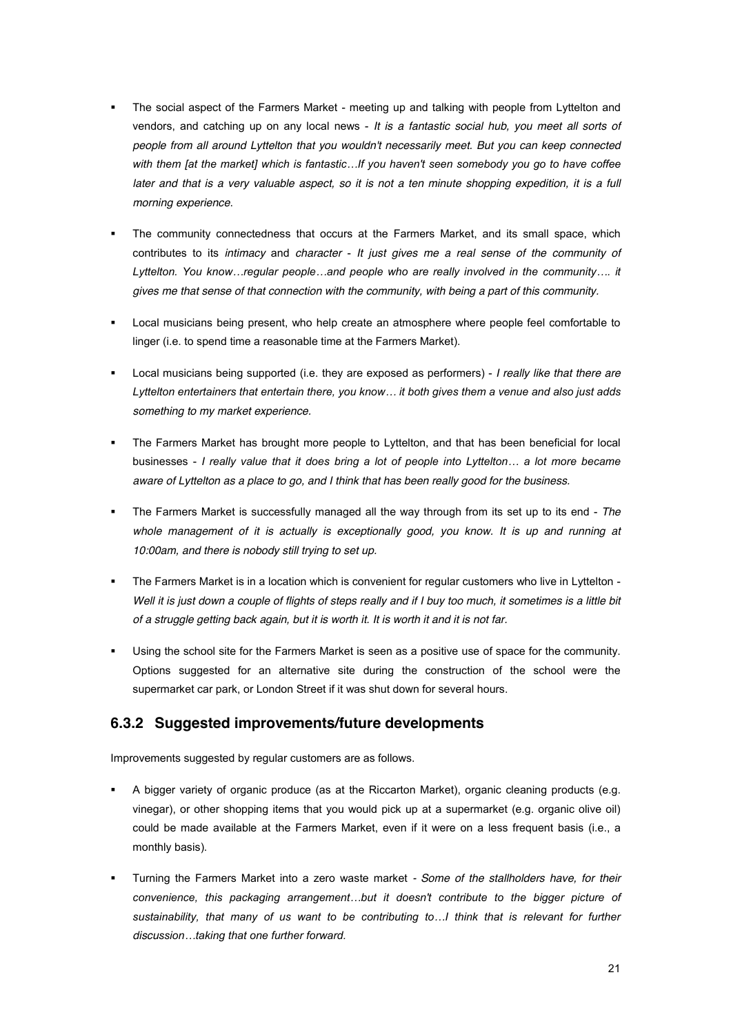- ! The social aspect of the Farmers Market meeting up and talking with people from Lyttelton and vendors, and catching up on any local news - *It is a fantastic social hub, you meet all sorts of people from all around Lyttelton that you wouldn't necessarily meet. But you can keep connected*  with them [at the market] which is fantastic...If you haven't seen somebody you go to have coffee *later and that is a very valuable aspect, so it is not a ten minute shopping expedition, it is a full morning experience*.
- The community connectedness that occurs at the Farmers Market, and its small space, which contributes to its *intimacy* and *character* - *It just gives me a real sense of the community of*  Lyttelton. You know...regular people...and people who are really involved in the community.... it *gives me that sense of that connection with the community, with being a part of this community.*
- Local musicians being present, who help create an atmosphere where people feel comfortable to linger (i.e. to spend time a reasonable time at the Farmers Market).
- ! Local musicians being supported (i.e. they are exposed as performers) *I really like that there are*  Lyttelton entertainers that entertain there, you know... it both gives them a venue and also just adds *something to my market experience.*
- ! The Farmers Market has brought more people to Lyttelton, and that has been beneficial for local businesses - *I really value that it does bring a lot of people into Lyttelton... a lot more became aware of Lyttelton as a place to go, and I think that has been really good for the business.*
- ! The Farmers Market is successfully managed all the way through from its set up to its end *The*  whole management of it is actually is exceptionally good, you know. It is up and running at *10:00am, and there is nobody still trying to set up.*
- ! The Farmers Market is in a location which is convenient for regular customers who live in Lyttelton Well it is just down a couple of flights of steps really and if I buy too much, it sometimes is a little bit *of a struggle getting back again, but it is worth it. It is worth it and it is not far.*
- Using the school site for the Farmers Market is seen as a positive use of space for the community. Options suggested for an alternative site during the construction of the school were the supermarket car park, or London Street if it was shut down for several hours.

### **6.3.2 Suggested improvements/future developments**

Improvements suggested by regular customers are as follows.

- ! A bigger variety of organic produce (as at the Riccarton Market), organic cleaning products (e.g. vinegar), or other shopping items that you would pick up at a supermarket (e.g. organic olive oil) could be made available at the Farmers Market, even if it were on a less frequent basis (i.e., a monthly basis).
- ! Turning the Farmers Market into a zero waste market *- Some of the stallholders have, for their*  convenience, this packaging arrangement...but it doesn't contribute to the bigger picture of sustainability, that many of us want to be contributing to...*I* think that is relevant for further  $disclusion...$ taking that one further forward.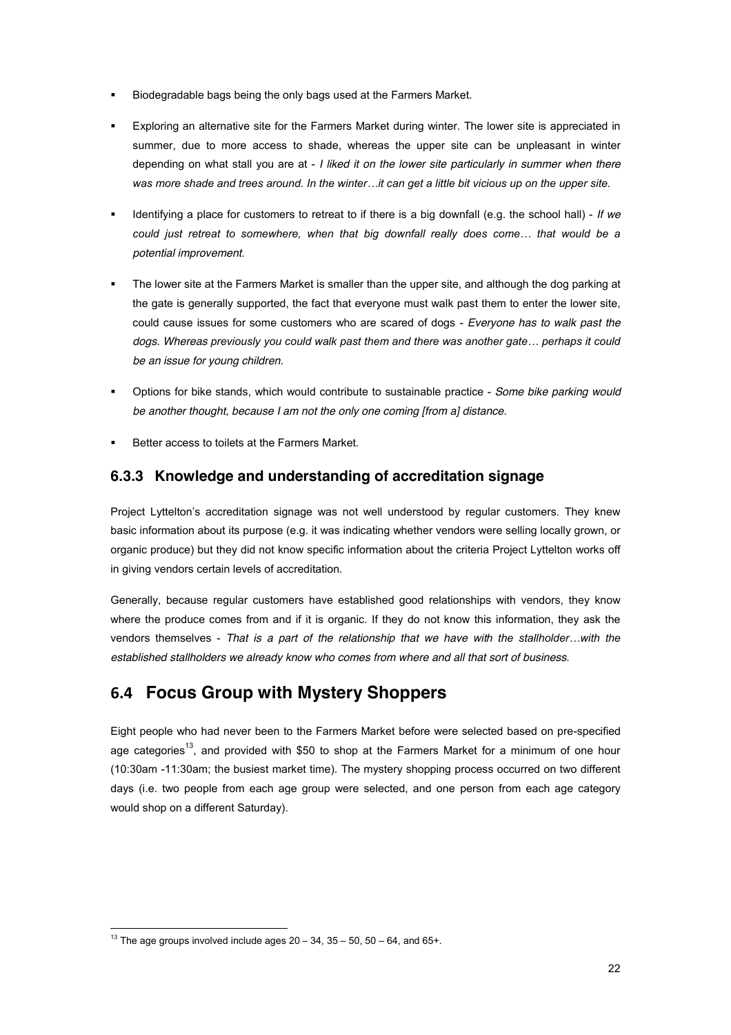- ! Biodegradable bags being the only bags used at the Farmers Market*.*
- Exploring an alternative site for the Farmers Market during winter. The lower site is appreciated in summer, due to more access to shade, whereas the upper site can be unpleasant in winter depending on what stall you are at - *I liked it on the lower site particularly in summer when there*  was more shade and trees around. In the winter...it can get a little bit vicious up on the upper site.
- ! Identifying a place for customers to retreat to if there is a big downfall (e.g. the school hall) *If we*  could just retreat to somewhere, when that big downfall really does come... that would be a *potential improvement*.
- " The lower site at the Farmers Market is smaller than the upper site, and although the dog parking at the gate is generally supported, the fact that everyone must walk past them to enter the lower site, could cause issues for some customers who are scared of dogs - *Everyone has to walk past the dogs. Whereas previously you could walk past them and there was another gate... perhaps it could be an issue for young children.*
- ! Options for bike stands, which would contribute to sustainable practice *Some bike parking would be another thought, because I am not the only one coming [from a] distance.*
- Better access to toilets at the Farmers Market.

### **6.3.3 Knowledge and understanding of accreditation signage**

Project Lyttelton's accreditation signage was not well understood by regular customers. They knew basic information about its purpose (e.g. it was indicating whether vendors were selling locally grown, or organic produce) but they did not know specific information about the criteria Project Lyttelton works off in giving vendors certain levels of accreditation.

Generally, because regular customers have established good relationships with vendors, they know where the produce comes from and if it is organic. If they do not know this information, they ask the vendors themselves - That is a part of the relationship that we have with the stallholder...with the *established stallholders we already know who comes from where and all that sort of business*.

## **(#% Focus Group with Mystery Shoppers**

Eight people who had never been to the Farmers Market before were selected based on pre-specified age categories<sup>13</sup>, and provided with \$50 to shop at the Farmers Market for a minimum of one hour (10:30am -11:30am; the busiest market time). The mystery shopping process occurred on two different days (i.e. two people from each age group were selected, and one person from each age category would shop on a different Saturday).

 $13$  The age groups involved include ages  $20 - 34$ ,  $35 - 50$ ,  $50 - 64$ , and 65+.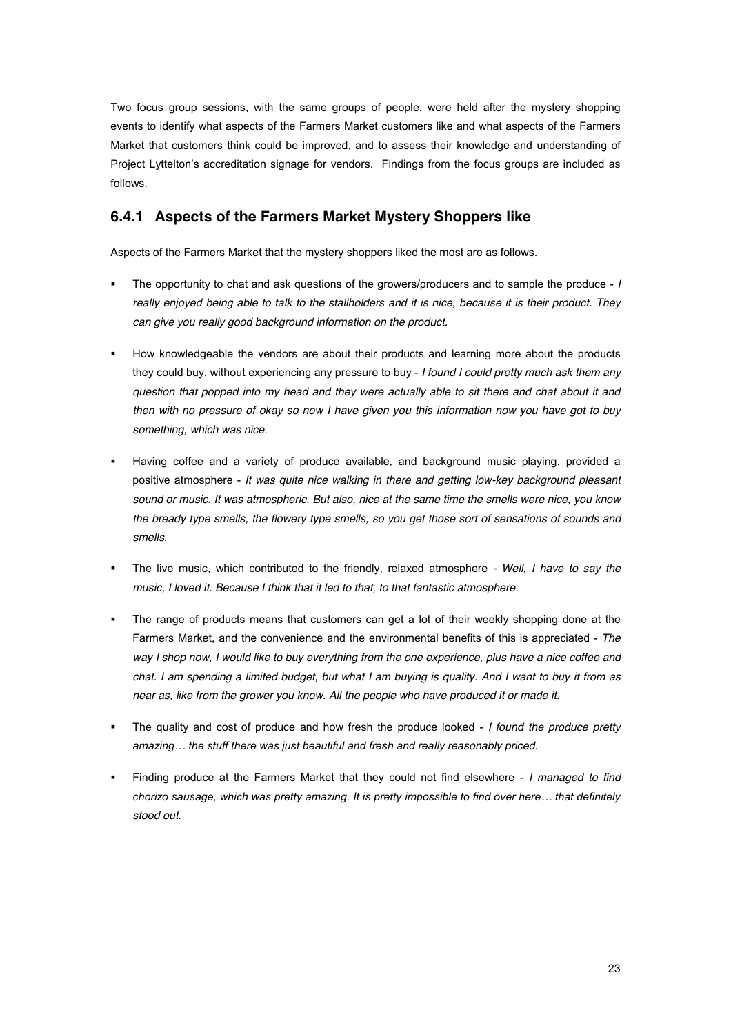Two focus group sessions, with the same groups of people, were held after the mystery shopping events to identify what aspects of the Farmers Market customers like and what aspects of the Farmers Market that customers think could be improved, and to assess their knowledge and understanding of Project Lyttelton's accreditation signage for vendors. Findings from the focus groups are included as follows.

### **6.4.1 Aspects of the Farmers Market Mystery Shoppers like**

Aspects of the Farmers Market that the mystery shoppers liked the most are as follows.

- ! The opportunity to chat and ask questions of the growers/producers and to sample the produce *I really enjoyed being able to talk to the stallholders and it is nice, because it is their product. They can give you really good background information on the product.*
- ! How knowledgeable the vendors are about their products and learning more about the products they could buy, without experiencing any pressure to buy - *I found I could pretty much ask them any question that popped into my head and they were actually able to sit there and chat about it and then with no pressure of okay so now I have given you this information now you have got to buy something, which was nice*.
- Having coffee and a variety of produce available, and background music playing, provided a positive atmosphere - *It was quite nice walking in there and getting low-key background pleasant sound or music. It was atmospheric. But also, nice at the same time the smells were nice, you know the bready type smells, the flowery type smells, so you get those sort of sensations of sounds and smells*.
- ! The live music, which contributed to the friendly, relaxed atmosphere *- Well, I have to say the music, I loved it. Because I think that it led to that, to that fantastic atmosphere.*
- The range of products means that customers can get a lot of their weekly shopping done at the Farmers Market, and the convenience and the environmental benefits of this is appreciated - *The way I shop now, I would like to buy everything from the one experience, plus have a nice coffee and chat. I am spending a limited budget, but what I am buying is quality. And I want to buy it from as near as, like from the grower you know. All the people who have produced it or made it.*
- ! The quality and cost of produce and how fresh the produce looked *I found the produce pretty*  amazing... the stuff there was just beautiful and fresh and really reasonably priced.
- ! Finding produce at the Farmers Market that they could not find elsewhere *I managed to find*  chorizo sausage, which was pretty amazing. It is pretty impossible to find over here... that definitely *stood out*.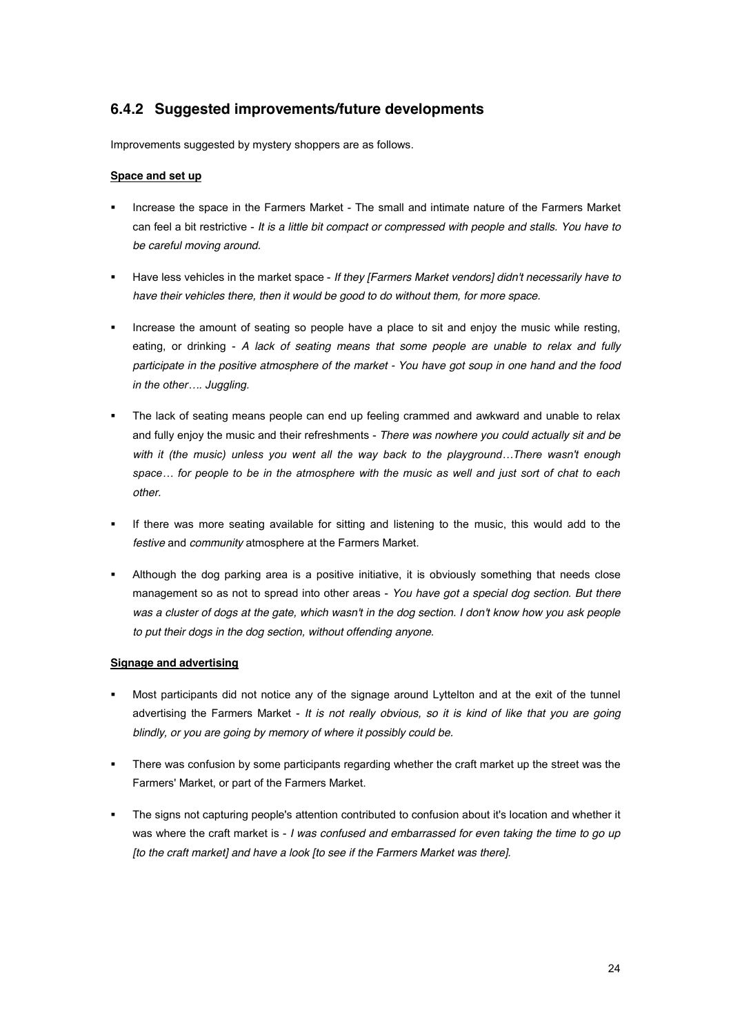### **6.4.2 Suggested improvements/future developments**

Improvements suggested by mystery shoppers are as follows.

#### **Space and set up**

- ! Increase the space in the Farmers Market The small and intimate nature of the Farmers Market can feel a bit restrictive - *It is a little bit compact or compressed with people and stalls. You have to be careful moving around.*
- ! Have less vehicles in the market space *If they [Farmers Market vendors] didn't necessarily have to have their vehicles there, then it would be good to do without them, for more space.*
- ! Increase the amount of seating so people have a place to sit and enjoy the music while resting, eating, or drinking - *A lack of seating means that some people are unable to relax and fully participate in the positive atmosphere of the market - You have got soup in one hand and the food in the other.... Juggling.*
- The lack of seating means people can end up feeling crammed and awkward and unable to relax and fully enjoy the music and their refreshments - *There was nowhere you could actually sit and be with it (the music) unless you went all the way back to the playground...There wasn't enough*  $space...$  for people to be in the atmosphere with the music as well and just sort of chat to each *other.*
- If there was more seating available for sitting and listening to the music, this would add to the *festive* and *community* atmosphere at the Farmers Market.
- ! Although the dog parking area is a positive initiative, it is obviously something that needs close management so as not to spread into other areas - *You have got a special dog section. But there was a cluster of dogs at the gate, which wasn't in the dog section. I don't know how you ask people to put their dogs in the dog section, without offending anyone*.

#### **Signage and advertising**

- ! Most participants did not notice any of the signage around Lyttelton and at the exit of the tunnel advertising the Farmers Market - *It is not really obvious, so it is kind of like that you are going blindly, or you are going by memory of where it possibly could be.*
- There was confusion by some participants regarding whether the craft market up the street was the Farmers' Market, or part of the Farmers Market.
- ! The signs not capturing people's attention contributed to confusion about it's location and whether it was where the craft market is - *I was confused and embarrassed for even taking the time to go up [to the craft market] and have a look [to see if the Farmers Market was there].*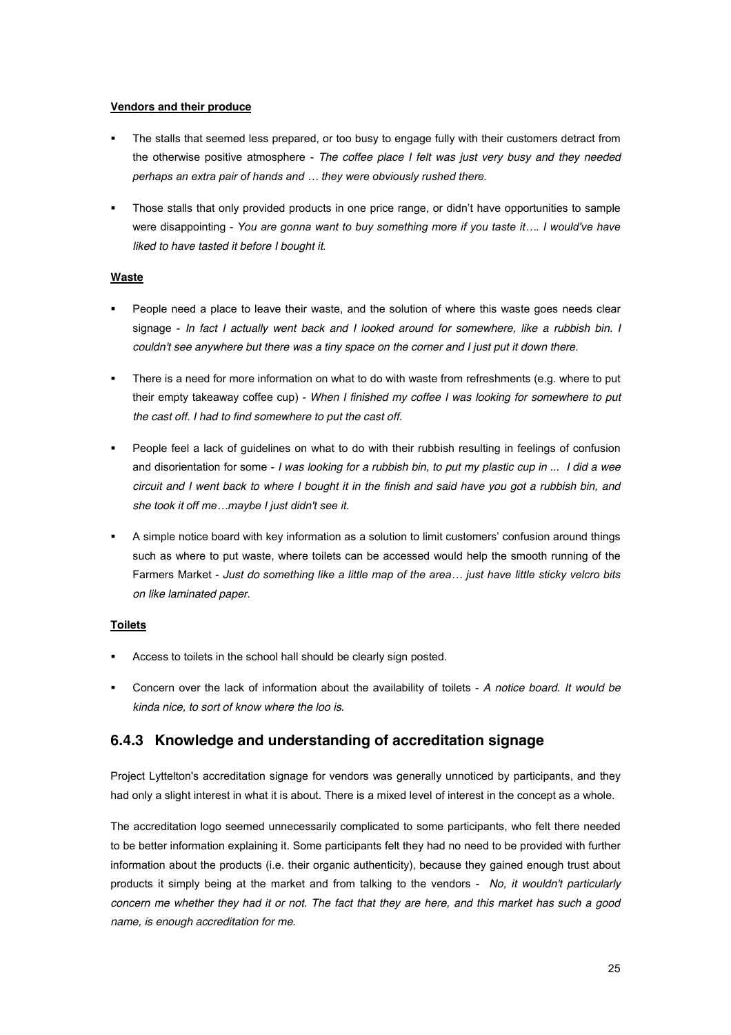#### **Vendors and their produce**

- The stalls that seemed less prepared, or too busy to engage fully with their customers detract from the otherwise positive atmosphere - *The coffee place I felt was just very busy and they needed*  perhaps an extra pair of hands and ... they were obviously rushed there.
- Those stalls that only provided products in one price range, or didn't have opportunities to sample were disappointing - You are gonna want to buy something more if you taste it.... I would've have *liked to have tasted it before I bought it*.

#### **Waste**

- ! People need a place to leave their waste, and the solution of where this waste goes needs clear signage - *In fact I actually went back and I looked around for somewhere, like a rubbish bin. I couldn't see anywhere but there was a tiny space on the corner and I just put it down there.*
- ! There is a need for more information on what to do with waste from refreshments (e.g. where to put their empty takeaway coffee cup) - *When I finished my coffee I was looking for somewhere to put the cast off. I had to find somewhere to put the cast off.*
- ! People feel a lack of guidelines on what to do with their rubbish resulting in feelings of confusion and disorientation for some - *I was looking for a rubbish bin, to put my plastic cup in ... I did a wee circuit and I went back to where I bought it in the finish and said have you got a rubbish bin, and she took it off me...maybe I just didn't see it.*
- A simple notice board with key information as a solution to limit customers' confusion around things such as where to put waste, where toilets can be accessed would help the smooth running of the Farmers Market - *Just do something like a little map of the area... just have little sticky velcro bits on like laminated paper*.

#### **Toilets**

- Access to toilets in the school hall should be clearly sign posted.
- ! Concern over the lack of information about the availability of toilets *A notice board. It would be kinda nice, to sort of know where the loo is*.

### **6.4.3 Knowledge and understanding of accreditation signage**

Project Lyttelton's accreditation signage for vendors was generally unnoticed by participants, and they had only a slight interest in what it is about. There is a mixed level of interest in the concept as a whole.

The accreditation logo seemed unnecessarily complicated to some participants, who felt there needed to be better information explaining it. Some participants felt they had no need to be provided with further information about the products (i.e. their organic authenticity), because they gained enough trust about products it simply being at the market and from talking to the vendors - *No, it wouldn't particularly concern me whether they had it or not. The fact that they are here, and this market has such a good name, is enough accreditation for me*.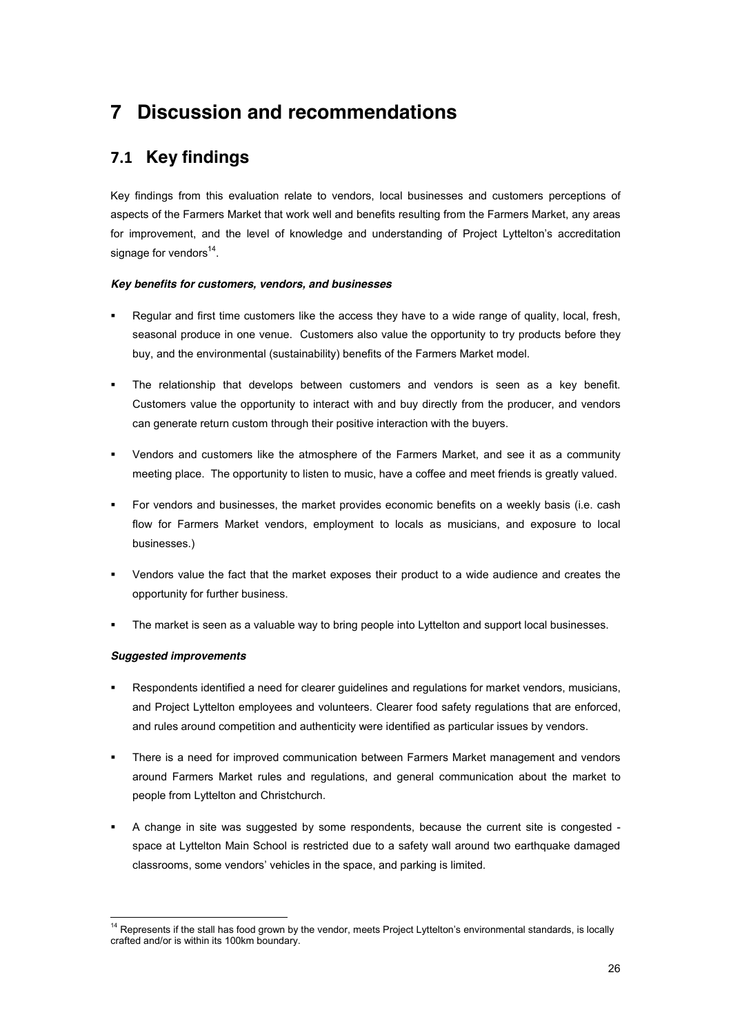# **7 Discussion and recommendations**

## **)#\$ Key findings**

Key findings from this evaluation relate to vendors, local businesses and customers perceptions of aspects of the Farmers Market that work well and benefits resulting from the Farmers Market, any areas for improvement, and the level of knowledge and understanding of Project Lyttelton's accreditation signage for vendors $^{14}$ .

### *Key benefits for customers, vendors, and businesses*

- Regular and first time customers like the access they have to a wide range of quality, local, fresh, seasonal produce in one venue. Customers also value the opportunity to try products before they buy, and the environmental (sustainability) benefits of the Farmers Market model.
- The relationship that develops between customers and vendors is seen as a key benefit. Customers value the opportunity to interact with and buy directly from the producer, and vendors can generate return custom through their positive interaction with the buyers.
- ! Vendors and customers like the atmosphere of the Farmers Market, and see it as a community meeting place. The opportunity to listen to music, have a coffee and meet friends is greatly valued.
- ! For vendors and businesses, the market provides economic benefits on a weekly basis (i.e. cash flow for Farmers Market vendors, employment to locals as musicians, and exposure to local businesses.)
- ! Vendors value the fact that the market exposes their product to a wide audience and creates the opportunity for further business.
- The market is seen as a valuable way to bring people into Lyttelton and support local businesses.

#### *Suggested improvements*

- ! Respondents identified a need for clearer guidelines and regulations for market vendors, musicians, and Project Lyttelton employees and volunteers. Clearer food safety regulations that are enforced, and rules around competition and authenticity were identified as particular issues by vendors.
- ! There is a need for improved communication between Farmers Market management and vendors around Farmers Market rules and regulations, and general communication about the market to people from Lyttelton and Christchurch.
- ! A change in site was suggested by some respondents, because the current site is congested space at Lyttelton Main School is restricted due to a safety wall around two earthquake damaged classrooms, some vendors' vehicles in the space, and parking is limited.

<sup>&</sup>lt;sup>14</sup> Represents if the stall has food grown by the vendor, meets Project Lyttelton's environmental standards, is locally crafted and/or is within its 100km boundary.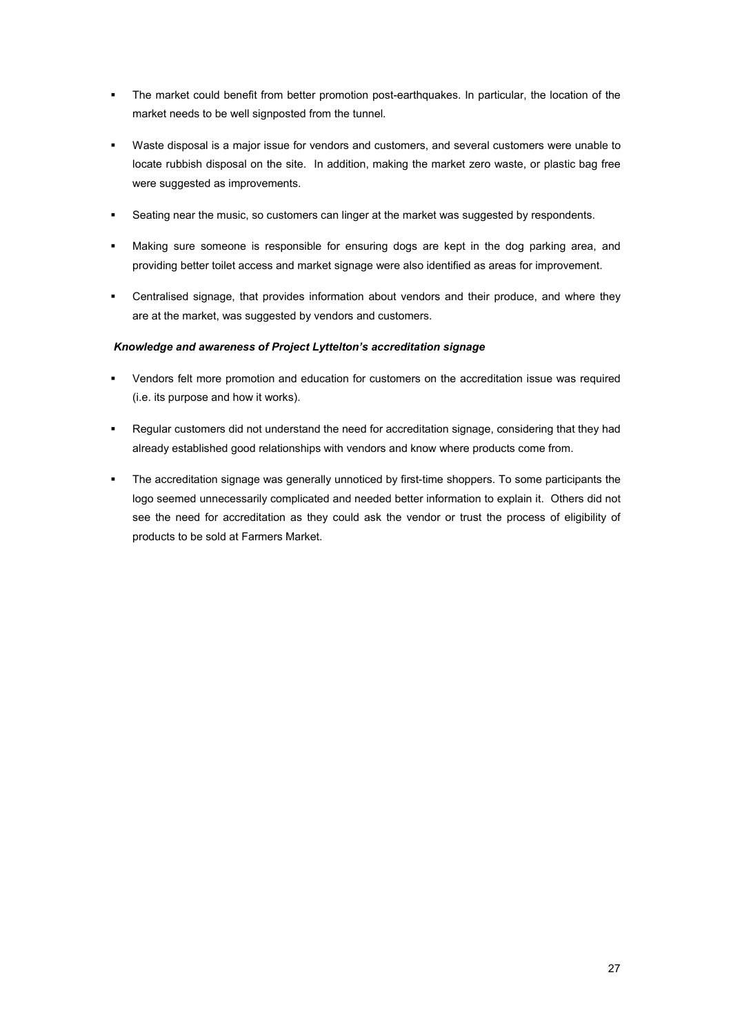- ! The market could benefit from better promotion post-earthquakes. In particular, the location of the market needs to be well signposted from the tunnel.
- ! Waste disposal is a major issue for vendors and customers, and several customers were unable to locate rubbish disposal on the site. In addition, making the market zero waste, or plastic bag free were suggested as improvements.
- ! Seating near the music, so customers can linger at the market was suggested by respondents.
- ! Making sure someone is responsible for ensuring dogs are kept in the dog parking area, and providing better toilet access and market signage were also identified as areas for improvement.
- ! Centralised signage, that provides information about vendors and their produce, and where they are at the market, was suggested by vendors and customers.

### **Knowledge and awareness of Project Lyttelton's accreditation signage**

- ! Vendors felt more promotion and education for customers on the accreditation issue was required (i.e. its purpose and how it works).
- ! Regular customers did not understand the need for accreditation signage, considering that they had already established good relationships with vendors and know where products come from.
- The accreditation signage was generally unnoticed by first-time shoppers. To some participants the logo seemed unnecessarily complicated and needed better information to explain it. Others did not see the need for accreditation as they could ask the vendor or trust the process of eligibility of products to be sold at Farmers Market.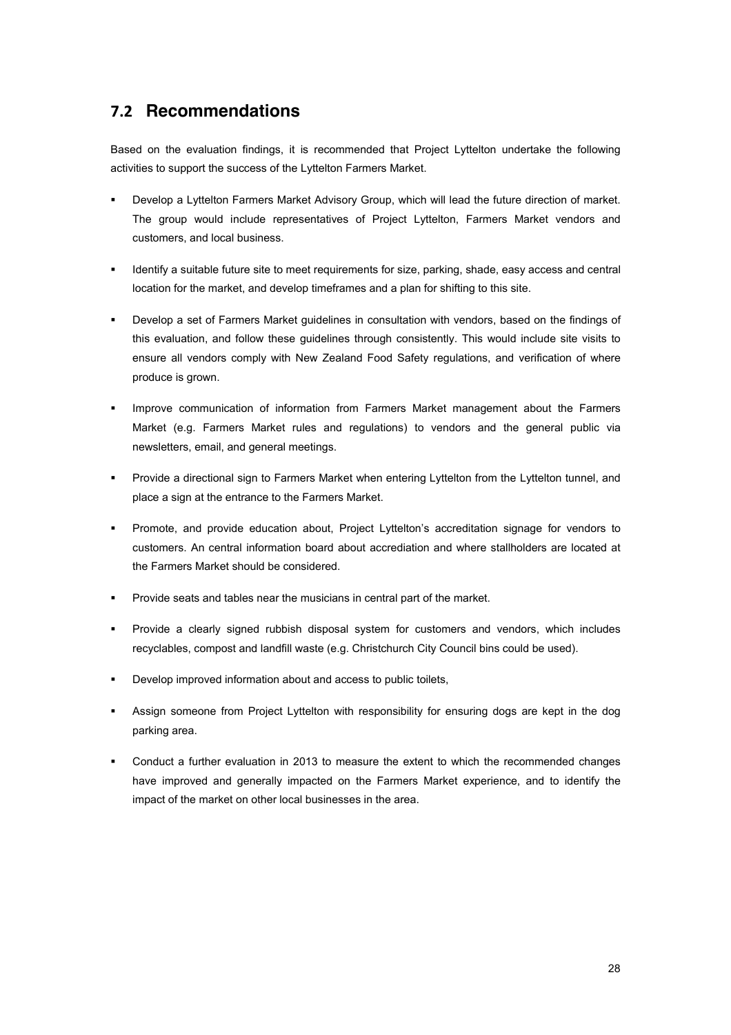## **)#& Recommendations**

Based on the evaluation findings, it is recommended that Project Lyttelton undertake the following activities to support the success of the Lyttelton Farmers Market.

- Develop a Lyttelton Farmers Market Advisory Group, which will lead the future direction of market. The group would include representatives of Project Lyttelton, Farmers Market vendors and customers, and local business.
- Identify a suitable future site to meet requirements for size, parking, shade, easy access and central location for the market, and develop timeframes and a plan for shifting to this site.
- ! Develop a set of Farmers Market guidelines in consultation with vendors, based on the findings of this evaluation, and follow these guidelines through consistently. This would include site visits to ensure all vendors comply with New Zealand Food Safety regulations, and verification of where produce is grown.
- ! Improve communication of information from Farmers Market management about the Farmers Market (e.g. Farmers Market rules and regulations) to vendors and the general public via newsletters, email, and general meetings.
- ! Provide a directional sign to Farmers Market when entering Lyttelton from the Lyttelton tunnel, and place a sign at the entrance to the Farmers Market.
- Promote, and provide education about, Project Lyttelton's accreditation signage for vendors to customers. An central information board about accrediation and where stallholders are located at the Farmers Market should be considered.
- ! Provide seats and tables near the musicians in central part of the market.
- ! Provide a clearly signed rubbish disposal system for customers and vendors, which includes recyclables, compost and landfill waste (e.g. Christchurch City Council bins could be used).
- ! Develop improved information about and access to public toilets,
- Assign someone from Project Lyttelton with responsibility for ensuring dogs are kept in the dog parking area.
- ! Conduct a further evaluation in 2013 to measure the extent to which the recommended changes have improved and generally impacted on the Farmers Market experience, and to identify the impact of the market on other local businesses in the area.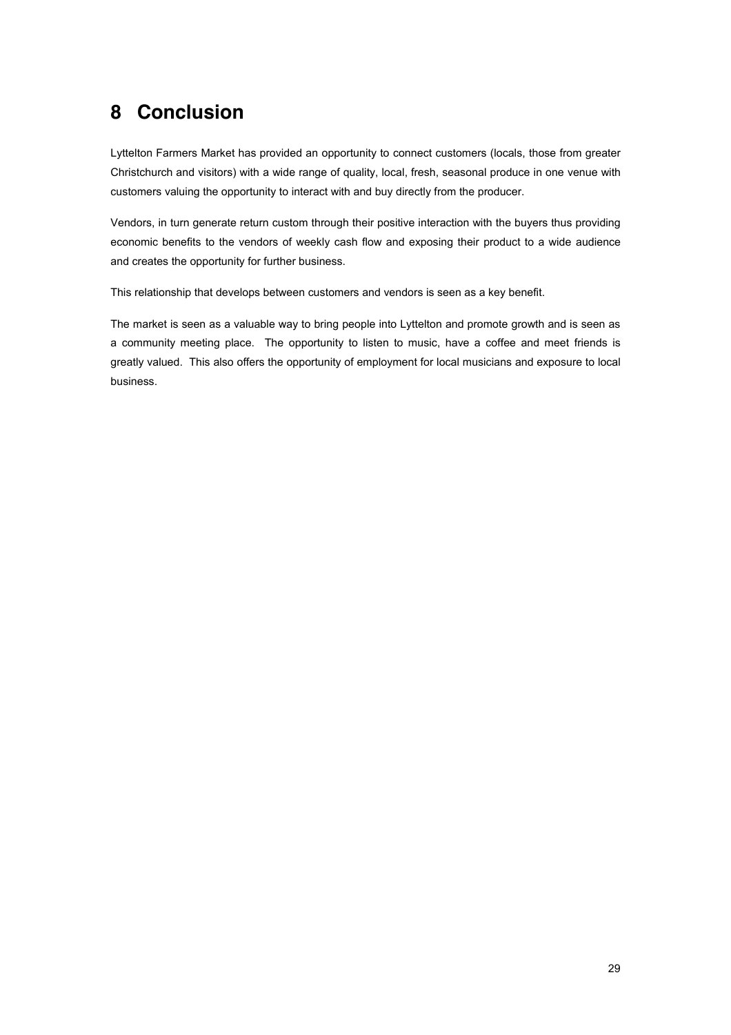# **8 Conclusion**

Lyttelton Farmers Market has provided an opportunity to connect customers (locals, those from greater Christchurch and visitors) with a wide range of quality, local, fresh, seasonal produce in one venue with customers valuing the opportunity to interact with and buy directly from the producer.

Vendors, in turn generate return custom through their positive interaction with the buyers thus providing economic benefits to the vendors of weekly cash flow and exposing their product to a wide audience and creates the opportunity for further business.

This relationship that develops between customers and vendors is seen as a key benefit.

The market is seen as a valuable way to bring people into Lyttelton and promote growth and is seen as a community meeting place. The opportunity to listen to music, have a coffee and meet friends is greatly valued. This also offers the opportunity of employment for local musicians and exposure to local business.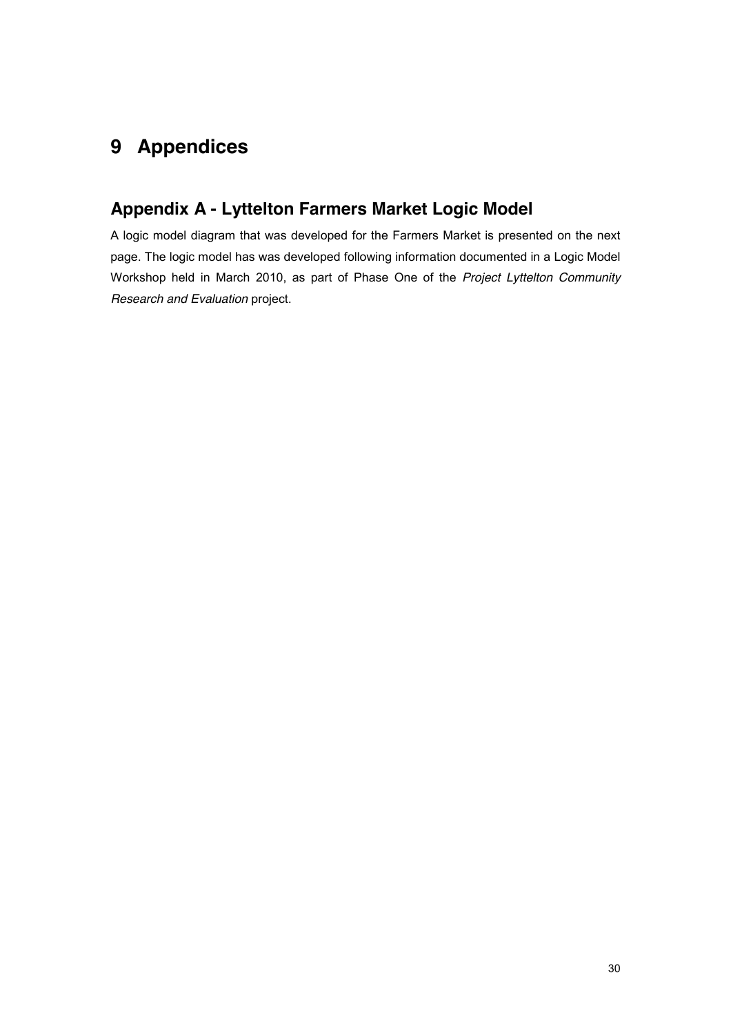# **9 Appendices**

## **Appendix A - Lyttelton Farmers Market Logic Model**

A logic model diagram that was developed for the Farmers Market is presented on the next page. The logic model has was developed following information documented in a Logic Model Workshop held in March 2010, as part of Phase One of the *Project Lyttelton Community Research and Evaluation* project.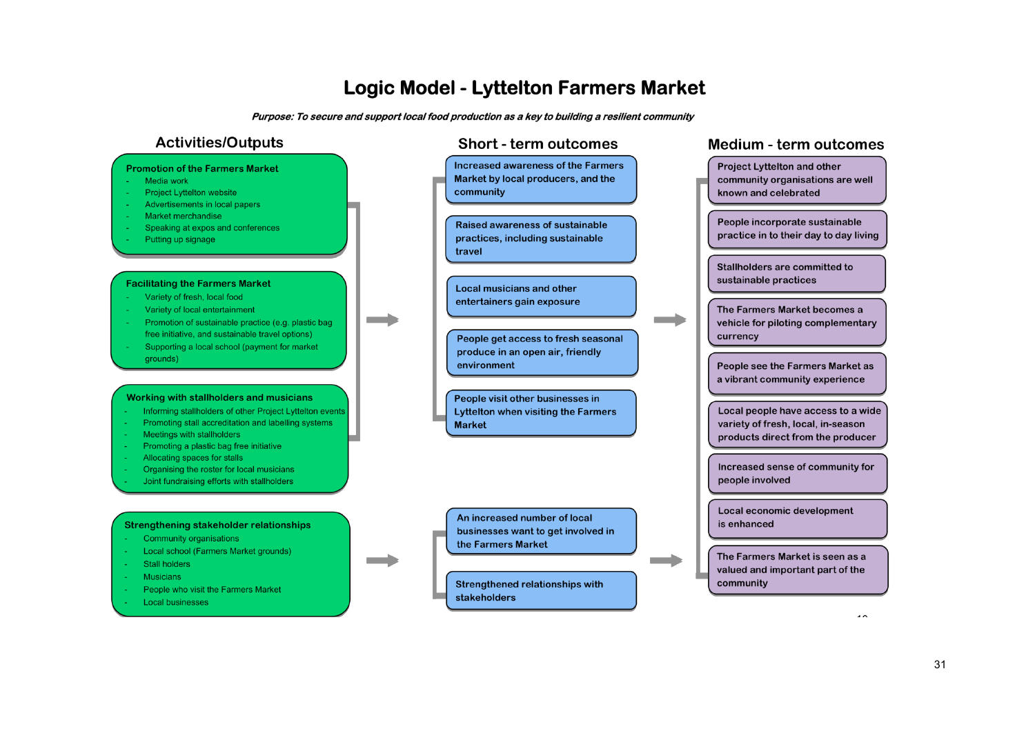# **Logic Model - Lyttelton Farmers Market**

Purpose: To secure and support local food production as a key to building a resilient community

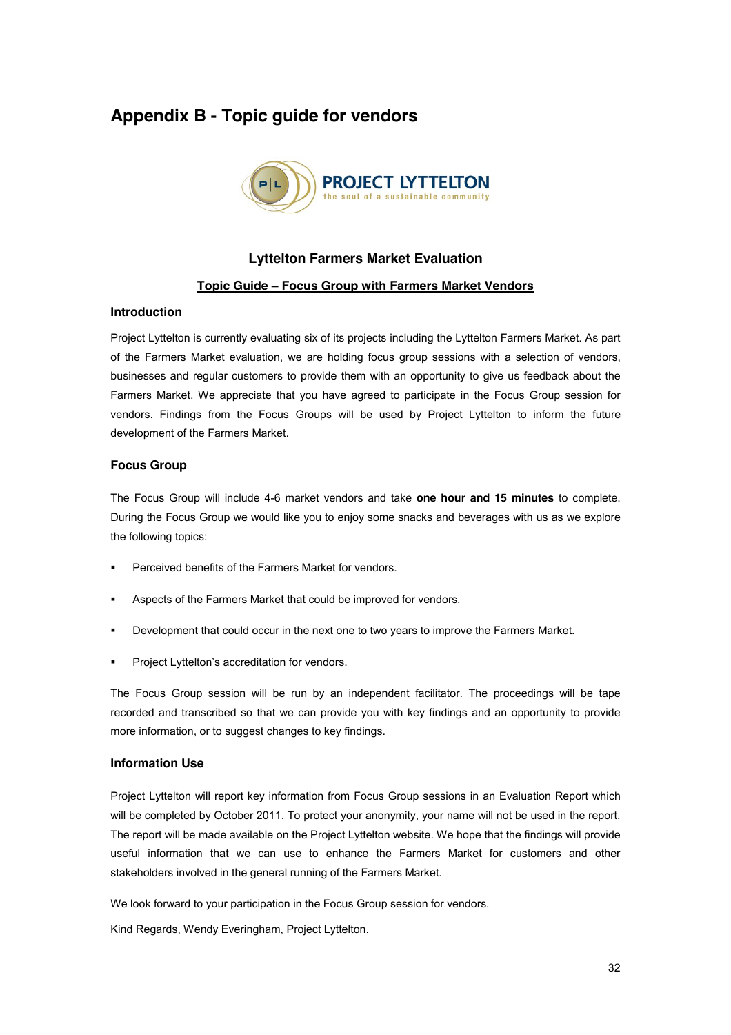## **Appendix B - Topic guide for vendors**



### **Lyttelton Farmers Market Evaluation**

### **Topic Guide 3 Focus Group with Farmers Market Vendors**

#### **Introduction**

Project Lyttelton is currently evaluating six of its projects including the Lyttelton Farmers Market. As part of the Farmers Market evaluation, we are holding focus group sessions with a selection of vendors, businesses and regular customers to provide them with an opportunity to give us feedback about the Farmers Market. We appreciate that you have agreed to participate in the Focus Group session for vendors. Findings from the Focus Groups will be used by Project Lyttelton to inform the future development of the Farmers Market.

### **Focus Group**

The Focus Group will include 4-6 market vendors and take **one hour and 15 minutes** to complete. During the Focus Group we would like you to enjoy some snacks and beverages with us as we explore the following topics:

- ! Perceived benefits of the Farmers Market for vendors.
- Aspects of the Farmers Market that could be improved for vendors.
- ! Development that could occur in the next one to two years to improve the Farmers Market.
- Project Lyttelton's accreditation for vendors.

The Focus Group session will be run by an independent facilitator. The proceedings will be tape recorded and transcribed so that we can provide you with key findings and an opportunity to provide more information, or to suggest changes to key findings.

#### **Information Use**

Project Lyttelton will report key information from Focus Group sessions in an Evaluation Report which will be completed by October 2011. To protect your anonymity, your name will not be used in the report. The report will be made available on the Project Lyttelton website. We hope that the findings will provide useful information that we can use to enhance the Farmers Market for customers and other stakeholders involved in the general running of the Farmers Market.

We look forward to your participation in the Focus Group session for vendors.

Kind Regards, Wendy Everingham, Project Lyttelton.